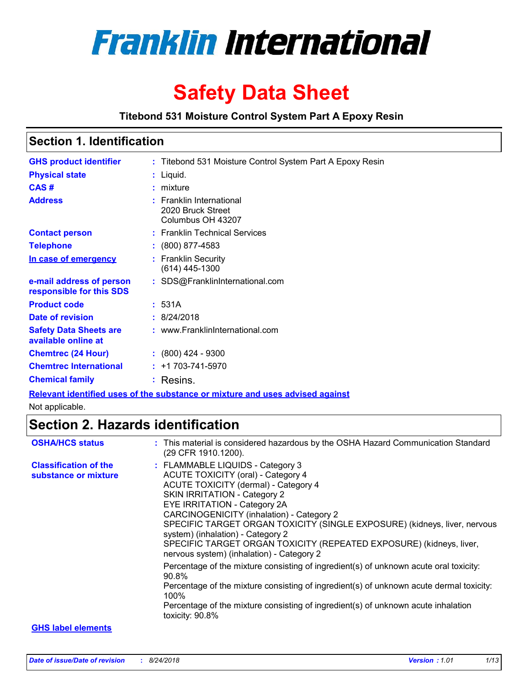

# **Safety Data Sheet**

### **Titebond 531 Moisture Control System Part A Epoxy Resin**

### **Section 1. Identification**

| <b>GHS product identifier</b>                                                 |  | : Titebond 531 Moisture Control System Part A Epoxy Resin               |  |  |
|-------------------------------------------------------------------------------|--|-------------------------------------------------------------------------|--|--|
| <b>Physical state</b>                                                         |  | : Liquid.                                                               |  |  |
| CAS#                                                                          |  | mixture                                                                 |  |  |
| <b>Address</b>                                                                |  | <b>Franklin International</b><br>2020 Bruck Street<br>Columbus OH 43207 |  |  |
| <b>Contact person</b>                                                         |  | : Franklin Technical Services                                           |  |  |
| <b>Telephone</b>                                                              |  | (800) 877-4583                                                          |  |  |
| In case of emergency                                                          |  | <b>Franklin Security</b><br>(614) 445-1300                              |  |  |
| e-mail address of person<br>responsible for this SDS                          |  | : SDS@FranklinInternational.com                                         |  |  |
| <b>Product code</b>                                                           |  | : 531A                                                                  |  |  |
| Date of revision                                                              |  | : 8/24/2018                                                             |  |  |
| <b>Safety Data Sheets are</b><br>available online at                          |  | : www.FranklinInternational.com                                         |  |  |
| <b>Chemtrec (24 Hour)</b>                                                     |  | $: (800)$ 424 - 9300                                                    |  |  |
| <b>Chemtrec International</b>                                                 |  | $: +1703 - 741 - 5970$                                                  |  |  |
| <b>Chemical family</b>                                                        |  | : Resins.                                                               |  |  |
| Relevant identified uses of the substance or mixture and uses advised against |  |                                                                         |  |  |

Not applicable.

### **Section 2. Hazards identification**

| <b>OSHA/HCS status</b>                               | : This material is considered hazardous by the OSHA Hazard Communication Standard<br>(29 CFR 1910.1200).                                                                                                                                                                                                                                                                                                                                                                        |
|------------------------------------------------------|---------------------------------------------------------------------------------------------------------------------------------------------------------------------------------------------------------------------------------------------------------------------------------------------------------------------------------------------------------------------------------------------------------------------------------------------------------------------------------|
| <b>Classification of the</b><br>substance or mixture | : FLAMMABLE LIQUIDS - Category 3<br><b>ACUTE TOXICITY (oral) - Category 4</b><br>ACUTE TOXICITY (dermal) - Category 4<br><b>SKIN IRRITATION - Category 2</b><br>EYE IRRITATION - Category 2A<br>CARCINOGENICITY (inhalation) - Category 2<br>SPECIFIC TARGET ORGAN TOXICITY (SINGLE EXPOSURE) (kidneys, liver, nervous<br>system) (inhalation) - Category 2<br>SPECIFIC TARGET ORGAN TOXICITY (REPEATED EXPOSURE) (kidneys, liver,<br>nervous system) (inhalation) - Category 2 |
|                                                      | Percentage of the mixture consisting of ingredient(s) of unknown acute oral toxicity:<br>90.8%<br>Percentage of the mixture consisting of ingredient(s) of unknown acute dermal toxicity:<br>100%<br>Percentage of the mixture consisting of ingredient(s) of unknown acute inhalation<br>toxicity: 90.8%                                                                                                                                                                       |
| <b>GHS label elements</b>                            |                                                                                                                                                                                                                                                                                                                                                                                                                                                                                 |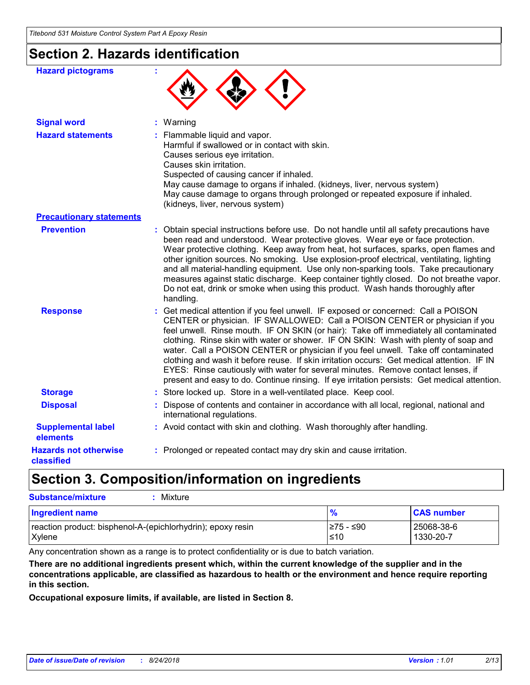# **Section 2. Hazards identification**

| <b>Hazard pictograms</b>                   |                                                                                                                                                                                                                                                                                                                                                                                                                                                                                                                                                                                                                                                                                                                           |
|--------------------------------------------|---------------------------------------------------------------------------------------------------------------------------------------------------------------------------------------------------------------------------------------------------------------------------------------------------------------------------------------------------------------------------------------------------------------------------------------------------------------------------------------------------------------------------------------------------------------------------------------------------------------------------------------------------------------------------------------------------------------------------|
| <b>Signal word</b>                         | : Warning                                                                                                                                                                                                                                                                                                                                                                                                                                                                                                                                                                                                                                                                                                                 |
| <b>Hazard statements</b>                   | : Flammable liquid and vapor.<br>Harmful if swallowed or in contact with skin.<br>Causes serious eye irritation.<br>Causes skin irritation.<br>Suspected of causing cancer if inhaled.<br>May cause damage to organs if inhaled. (kidneys, liver, nervous system)<br>May cause damage to organs through prolonged or repeated exposure if inhaled.<br>(kidneys, liver, nervous system)                                                                                                                                                                                                                                                                                                                                    |
| <b>Precautionary statements</b>            |                                                                                                                                                                                                                                                                                                                                                                                                                                                                                                                                                                                                                                                                                                                           |
| <b>Prevention</b>                          | : Obtain special instructions before use. Do not handle until all safety precautions have<br>been read and understood. Wear protective gloves. Wear eye or face protection.<br>Wear protective clothing. Keep away from heat, hot surfaces, sparks, open flames and<br>other ignition sources. No smoking. Use explosion-proof electrical, ventilating, lighting<br>and all material-handling equipment. Use only non-sparking tools. Take precautionary<br>measures against static discharge. Keep container tightly closed. Do not breathe vapor.<br>Do not eat, drink or smoke when using this product. Wash hands thoroughly after<br>handling.                                                                       |
| <b>Response</b>                            | : Get medical attention if you feel unwell. IF exposed or concerned: Call a POISON<br>CENTER or physician. IF SWALLOWED: Call a POISON CENTER or physician if you<br>feel unwell. Rinse mouth. IF ON SKIN (or hair): Take off immediately all contaminated<br>clothing. Rinse skin with water or shower. IF ON SKIN: Wash with plenty of soap and<br>water. Call a POISON CENTER or physician if you feel unwell. Take off contaminated<br>clothing and wash it before reuse. If skin irritation occurs: Get medical attention. IF IN<br>EYES: Rinse cautiously with water for several minutes. Remove contact lenses, if<br>present and easy to do. Continue rinsing. If eye irritation persists: Get medical attention. |
| <b>Storage</b>                             | : Store locked up. Store in a well-ventilated place. Keep cool.                                                                                                                                                                                                                                                                                                                                                                                                                                                                                                                                                                                                                                                           |
| <b>Disposal</b>                            | : Dispose of contents and container in accordance with all local, regional, national and<br>international regulations.                                                                                                                                                                                                                                                                                                                                                                                                                                                                                                                                                                                                    |
| <b>Supplemental label</b><br>elements      | : Avoid contact with skin and clothing. Wash thoroughly after handling.                                                                                                                                                                                                                                                                                                                                                                                                                                                                                                                                                                                                                                                   |
| <b>Hazards not otherwise</b><br>classified | : Prolonged or repeated contact may dry skin and cause irritation.                                                                                                                                                                                                                                                                                                                                                                                                                                                                                                                                                                                                                                                        |

## **Section 3. Composition/information on ingredients**

| <b>Substance/mixture</b><br>Mixture                                     |                         |                         |
|-------------------------------------------------------------------------|-------------------------|-------------------------|
| Ingredient name                                                         | $\frac{9}{6}$           | <b>CAS number</b>       |
| reaction product: bisphenol-A-(epichlorhydrin); epoxy resin<br>  Xylene | I≥75 - ≤90<br>$\leq 10$ | 25068-38-6<br>1330-20-7 |

Any concentration shown as a range is to protect confidentiality or is due to batch variation.

**There are no additional ingredients present which, within the current knowledge of the supplier and in the concentrations applicable, are classified as hazardous to health or the environment and hence require reporting in this section.**

**Occupational exposure limits, if available, are listed in Section 8.**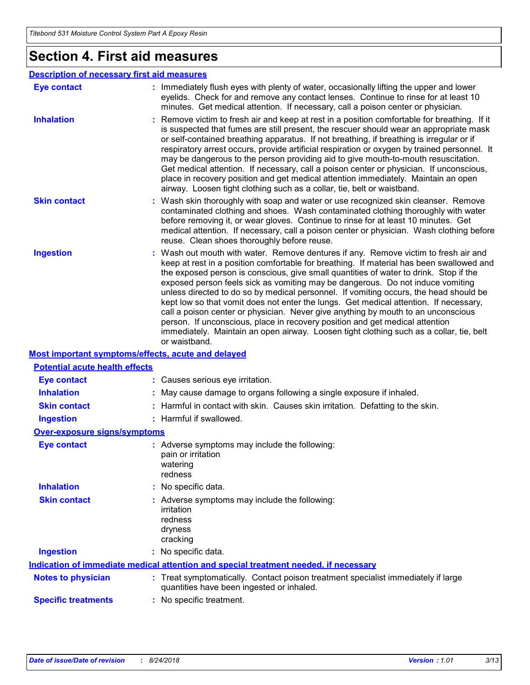### **Section 4. First aid measures**

#### : Wash out mouth with water. Remove dentures if any. Remove victim to fresh air and keep at rest in a position comfortable for breathing. If material has been swallowed and the exposed person is conscious, give small quantities of water to drink. Stop if the exposed person feels sick as vomiting may be dangerous. Do not induce vomiting unless directed to do so by medical personnel. If vomiting occurs, the head should be kept low so that vomit does not enter the lungs. Get medical attention. If necessary, call a poison center or physician. Never give anything by mouth to an unconscious person. If unconscious, place in recovery position and get medical attention immediately. Maintain an open airway. Loosen tight clothing such as a collar, tie, belt or waistband. **:** Immediately flush eyes with plenty of water, occasionally lifting the upper and lower eyelids. Check for and remove any contact lenses. Continue to rinse for at least 10 minutes. Get medical attention. If necessary, call a poison center or physician. Wash skin thoroughly with soap and water or use recognized skin cleanser. Remove **:** contaminated clothing and shoes. Wash contaminated clothing thoroughly with water before removing it, or wear gloves. Continue to rinse for at least 10 minutes. Get medical attention. If necessary, call a poison center or physician. Wash clothing before reuse. Clean shoes thoroughly before reuse. Remove victim to fresh air and keep at rest in a position comfortable for breathing. If it **:** is suspected that fumes are still present, the rescuer should wear an appropriate mask or self-contained breathing apparatus. If not breathing, if breathing is irregular or if respiratory arrest occurs, provide artificial respiration or oxygen by trained personnel. It may be dangerous to the person providing aid to give mouth-to-mouth resuscitation. Get medical attention. If necessary, call a poison center or physician. If unconscious, place in recovery position and get medical attention immediately. Maintain an open airway. Loosen tight clothing such as a collar, tie, belt or waistband. **Eye contact Skin contact Inhalation Ingestion : Notes to physician <b>:** Treat symptomatically. Contact poison treatment specialist immediately if large quantities have been ingested or inhaled. **Description of necessary first aid measures Specific treatments :** No specific treatment. **Most important symptoms/effects, acute and delayed Inhalation :** May cause damage to organs following a single exposure if inhaled. **Ingestion :** Harmful if swallowed. **Skin contact :** Harmful in contact with skin. Causes skin irritation. Defatting to the skin. **Eye contact :** Causes serious eye irritation. **Over-exposure signs/symptoms Skin contact Ingestion Inhalation :** No specific data. No specific data. **:** Adverse symptoms may include the following: **:** irritation redness dryness cracking **Eye contact :** Adverse symptoms may include the following: pain or irritation watering redness **Potential acute health effects Indication of immediate medical attention and special treatment needed, if necessary**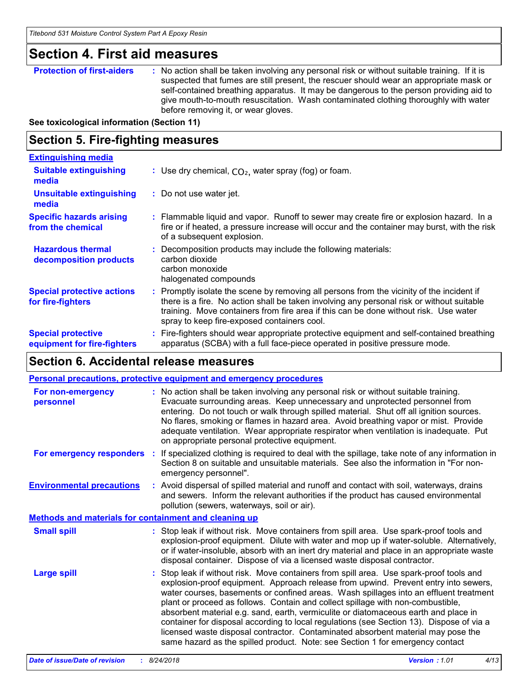### **Section 4. First aid measures**

**Protection of first-aiders :** No action shall be taken involving any personal risk or without suitable training. If it is suspected that fumes are still present, the rescuer should wear an appropriate mask or self-contained breathing apparatus. It may be dangerous to the person providing aid to give mouth-to-mouth resuscitation. Wash contaminated clothing thoroughly with water before removing it, or wear gloves.

**See toxicological information (Section 11)**

### **Section 5. Fire-fighting measures**

| <b>Extinguishing media</b>                               |                                                                                                                                                                                                                                                                                                                               |
|----------------------------------------------------------|-------------------------------------------------------------------------------------------------------------------------------------------------------------------------------------------------------------------------------------------------------------------------------------------------------------------------------|
| <b>Suitable extinguishing</b><br>media                   | : Use dry chemical, $CO2$ , water spray (fog) or foam.                                                                                                                                                                                                                                                                        |
| Unsuitable extinguishing<br>media                        | : Do not use water jet.                                                                                                                                                                                                                                                                                                       |
| <b>Specific hazards arising</b><br>from the chemical     | : Flammable liquid and vapor. Runoff to sewer may create fire or explosion hazard. In a<br>fire or if heated, a pressure increase will occur and the container may burst, with the risk<br>of a subsequent explosion.                                                                                                         |
| <b>Hazardous thermal</b><br>decomposition products       | Decomposition products may include the following materials:<br>carbon dioxide<br>carbon monoxide<br>halogenated compounds                                                                                                                                                                                                     |
| <b>Special protective actions</b><br>for fire-fighters   | : Promptly isolate the scene by removing all persons from the vicinity of the incident if<br>there is a fire. No action shall be taken involving any personal risk or without suitable<br>training. Move containers from fire area if this can be done without risk. Use water<br>spray to keep fire-exposed containers cool. |
| <b>Special protective</b><br>equipment for fire-fighters | : Fire-fighters should wear appropriate protective equipment and self-contained breathing<br>apparatus (SCBA) with a full face-piece operated in positive pressure mode.                                                                                                                                                      |

### **Section 6. Accidental release measures**

| Personal precautions, protective equipment and emergency procedures |                                                                                                                                                                                                                                                                                                                                                                                                                                                                                                                                                                                                                                                                                                                    |  |  |
|---------------------------------------------------------------------|--------------------------------------------------------------------------------------------------------------------------------------------------------------------------------------------------------------------------------------------------------------------------------------------------------------------------------------------------------------------------------------------------------------------------------------------------------------------------------------------------------------------------------------------------------------------------------------------------------------------------------------------------------------------------------------------------------------------|--|--|
| For non-emergency<br>personnel                                      | : No action shall be taken involving any personal risk or without suitable training.<br>Evacuate surrounding areas. Keep unnecessary and unprotected personnel from<br>entering. Do not touch or walk through spilled material. Shut off all ignition sources.<br>No flares, smoking or flames in hazard area. Avoid breathing vapor or mist. Provide<br>adequate ventilation. Wear appropriate respirator when ventilation is inadequate. Put<br>on appropriate personal protective equipment.                                                                                                                                                                                                                    |  |  |
|                                                                     | For emergency responders : If specialized clothing is required to deal with the spillage, take note of any information in<br>Section 8 on suitable and unsuitable materials. See also the information in "For non-<br>emergency personnel".                                                                                                                                                                                                                                                                                                                                                                                                                                                                        |  |  |
| <b>Environmental precautions</b>                                    | : Avoid dispersal of spilled material and runoff and contact with soil, waterways, drains<br>and sewers. Inform the relevant authorities if the product has caused environmental<br>pollution (sewers, waterways, soil or air).                                                                                                                                                                                                                                                                                                                                                                                                                                                                                    |  |  |
| <b>Methods and materials for containment and cleaning up</b>        |                                                                                                                                                                                                                                                                                                                                                                                                                                                                                                                                                                                                                                                                                                                    |  |  |
| <b>Small spill</b>                                                  | : Stop leak if without risk. Move containers from spill area. Use spark-proof tools and<br>explosion-proof equipment. Dilute with water and mop up if water-soluble. Alternatively,<br>or if water-insoluble, absorb with an inert dry material and place in an appropriate waste<br>disposal container. Dispose of via a licensed waste disposal contractor.                                                                                                                                                                                                                                                                                                                                                      |  |  |
| <b>Large spill</b>                                                  | : Stop leak if without risk. Move containers from spill area. Use spark-proof tools and<br>explosion-proof equipment. Approach release from upwind. Prevent entry into sewers,<br>water courses, basements or confined areas. Wash spillages into an effluent treatment<br>plant or proceed as follows. Contain and collect spillage with non-combustible,<br>absorbent material e.g. sand, earth, vermiculite or diatomaceous earth and place in<br>container for disposal according to local regulations (see Section 13). Dispose of via a<br>licensed waste disposal contractor. Contaminated absorbent material may pose the<br>same hazard as the spilled product. Note: see Section 1 for emergency contact |  |  |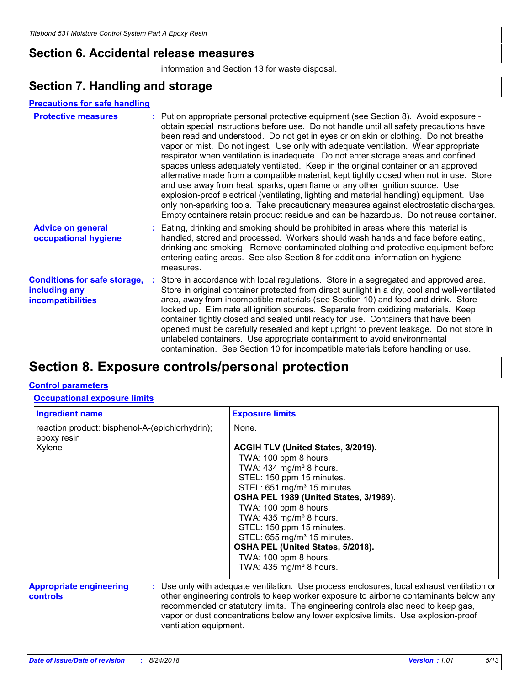### **Section 6. Accidental release measures**

information and Section 13 for waste disposal.

### **Section 7. Handling and storage**

### **Precautions for safe handling**

| <b>Protective measures</b>                                                       | : Put on appropriate personal protective equipment (see Section 8). Avoid exposure -<br>obtain special instructions before use. Do not handle until all safety precautions have<br>been read and understood. Do not get in eyes or on skin or clothing. Do not breathe<br>vapor or mist. Do not ingest. Use only with adequate ventilation. Wear appropriate<br>respirator when ventilation is inadequate. Do not enter storage areas and confined<br>spaces unless adequately ventilated. Keep in the original container or an approved<br>alternative made from a compatible material, kept tightly closed when not in use. Store<br>and use away from heat, sparks, open flame or any other ignition source. Use<br>explosion-proof electrical (ventilating, lighting and material handling) equipment. Use<br>only non-sparking tools. Take precautionary measures against electrostatic discharges.<br>Empty containers retain product residue and can be hazardous. Do not reuse container. |
|----------------------------------------------------------------------------------|---------------------------------------------------------------------------------------------------------------------------------------------------------------------------------------------------------------------------------------------------------------------------------------------------------------------------------------------------------------------------------------------------------------------------------------------------------------------------------------------------------------------------------------------------------------------------------------------------------------------------------------------------------------------------------------------------------------------------------------------------------------------------------------------------------------------------------------------------------------------------------------------------------------------------------------------------------------------------------------------------|
| <b>Advice on general</b><br>occupational hygiene                                 | : Eating, drinking and smoking should be prohibited in areas where this material is<br>handled, stored and processed. Workers should wash hands and face before eating,<br>drinking and smoking. Remove contaminated clothing and protective equipment before<br>entering eating areas. See also Section 8 for additional information on hygiene<br>measures.                                                                                                                                                                                                                                                                                                                                                                                                                                                                                                                                                                                                                                     |
| <b>Conditions for safe storage,</b><br>including any<br><b>incompatibilities</b> | : Store in accordance with local regulations. Store in a segregated and approved area.<br>Store in original container protected from direct sunlight in a dry, cool and well-ventilated<br>area, away from incompatible materials (see Section 10) and food and drink. Store<br>locked up. Eliminate all ignition sources. Separate from oxidizing materials. Keep<br>container tightly closed and sealed until ready for use. Containers that have been<br>opened must be carefully resealed and kept upright to prevent leakage. Do not store in<br>unlabeled containers. Use appropriate containment to avoid environmental<br>contamination. See Section 10 for incompatible materials before handling or use.                                                                                                                                                                                                                                                                                |

### **Section 8. Exposure controls/personal protection**

### **Control parameters**

### **Occupational exposure limits**

| <b>Ingredient name</b>                                               | <b>Exposure limits</b>                                                                                                                                                                                                                                                                                                                                        |  |  |
|----------------------------------------------------------------------|---------------------------------------------------------------------------------------------------------------------------------------------------------------------------------------------------------------------------------------------------------------------------------------------------------------------------------------------------------------|--|--|
| reaction product: bisphenol-A-(epichlorhydrin);<br>epoxy resin       | None.                                                                                                                                                                                                                                                                                                                                                         |  |  |
| Xylene                                                               | ACGIH TLV (United States, 3/2019).                                                                                                                                                                                                                                                                                                                            |  |  |
|                                                                      | TWA: 100 ppm 8 hours.                                                                                                                                                                                                                                                                                                                                         |  |  |
|                                                                      | TWA: $434$ mg/m <sup>3</sup> 8 hours.                                                                                                                                                                                                                                                                                                                         |  |  |
|                                                                      | STEL: 150 ppm 15 minutes.                                                                                                                                                                                                                                                                                                                                     |  |  |
|                                                                      | STEL: 651 mg/m <sup>3</sup> 15 minutes.                                                                                                                                                                                                                                                                                                                       |  |  |
|                                                                      | OSHA PEL 1989 (United States, 3/1989).                                                                                                                                                                                                                                                                                                                        |  |  |
|                                                                      | TWA: 100 ppm 8 hours.                                                                                                                                                                                                                                                                                                                                         |  |  |
|                                                                      | TWA: $435$ mg/m <sup>3</sup> 8 hours.                                                                                                                                                                                                                                                                                                                         |  |  |
|                                                                      | STEL: 150 ppm 15 minutes.                                                                                                                                                                                                                                                                                                                                     |  |  |
|                                                                      | STEL: 655 mg/m <sup>3</sup> 15 minutes.                                                                                                                                                                                                                                                                                                                       |  |  |
|                                                                      | OSHA PEL (United States, 5/2018).                                                                                                                                                                                                                                                                                                                             |  |  |
|                                                                      | TWA: 100 ppm 8 hours.                                                                                                                                                                                                                                                                                                                                         |  |  |
|                                                                      | TWA: $435$ mg/m <sup>3</sup> 8 hours.                                                                                                                                                                                                                                                                                                                         |  |  |
| <b>Appropriate engineering</b><br>controls<br>ventilation equipment. | : Use only with adequate ventilation. Use process enclosures, local exhaust ventilation or<br>other engineering controls to keep worker exposure to airborne contaminants below any<br>recommended or statutory limits. The engineering controls also need to keep gas,<br>vapor or dust concentrations below any lower explosive limits. Use explosion-proof |  |  |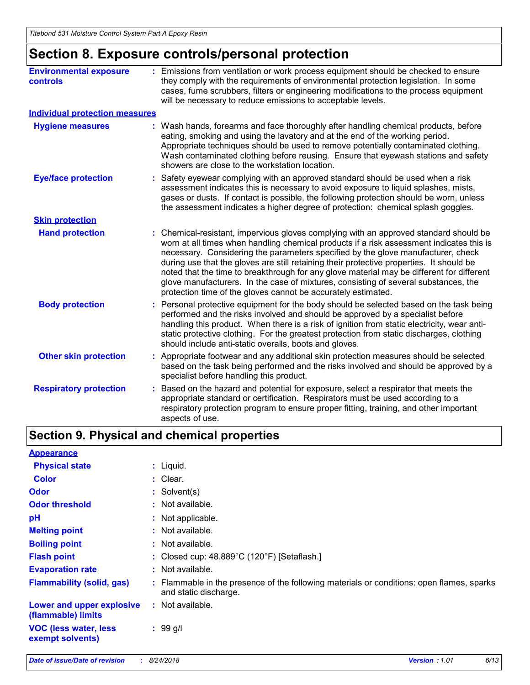# **Section 8. Exposure controls/personal protection**

| <b>Environmental exposure</b><br><b>controls</b> |    | : Emissions from ventilation or work process equipment should be checked to ensure<br>they comply with the requirements of environmental protection legislation. In some<br>cases, fume scrubbers, filters or engineering modifications to the process equipment<br>will be necessary to reduce emissions to acceptable levels.                                                                                                                                                                                                                                                                                        |
|--------------------------------------------------|----|------------------------------------------------------------------------------------------------------------------------------------------------------------------------------------------------------------------------------------------------------------------------------------------------------------------------------------------------------------------------------------------------------------------------------------------------------------------------------------------------------------------------------------------------------------------------------------------------------------------------|
| <b>Individual protection measures</b>            |    |                                                                                                                                                                                                                                                                                                                                                                                                                                                                                                                                                                                                                        |
| <b>Hygiene measures</b>                          |    | : Wash hands, forearms and face thoroughly after handling chemical products, before<br>eating, smoking and using the lavatory and at the end of the working period.<br>Appropriate techniques should be used to remove potentially contaminated clothing.<br>Wash contaminated clothing before reusing. Ensure that eyewash stations and safety<br>showers are close to the workstation location.                                                                                                                                                                                                                      |
| <b>Eye/face protection</b>                       |    | Safety eyewear complying with an approved standard should be used when a risk<br>assessment indicates this is necessary to avoid exposure to liquid splashes, mists,<br>gases or dusts. If contact is possible, the following protection should be worn, unless<br>the assessment indicates a higher degree of protection: chemical splash goggles.                                                                                                                                                                                                                                                                    |
| <b>Skin protection</b>                           |    |                                                                                                                                                                                                                                                                                                                                                                                                                                                                                                                                                                                                                        |
| <b>Hand protection</b>                           |    | : Chemical-resistant, impervious gloves complying with an approved standard should be<br>worn at all times when handling chemical products if a risk assessment indicates this is<br>necessary. Considering the parameters specified by the glove manufacturer, check<br>during use that the gloves are still retaining their protective properties. It should be<br>noted that the time to breakthrough for any glove material may be different for different<br>glove manufacturers. In the case of mixtures, consisting of several substances, the<br>protection time of the gloves cannot be accurately estimated. |
| <b>Body protection</b>                           |    | Personal protective equipment for the body should be selected based on the task being<br>performed and the risks involved and should be approved by a specialist before<br>handling this product. When there is a risk of ignition from static electricity, wear anti-<br>static protective clothing. For the greatest protection from static discharges, clothing<br>should include anti-static overalls, boots and gloves.                                                                                                                                                                                           |
| <b>Other skin protection</b>                     |    | : Appropriate footwear and any additional skin protection measures should be selected<br>based on the task being performed and the risks involved and should be approved by a<br>specialist before handling this product.                                                                                                                                                                                                                                                                                                                                                                                              |
| <b>Respiratory protection</b>                    | t. | Based on the hazard and potential for exposure, select a respirator that meets the<br>appropriate standard or certification. Respirators must be used according to a<br>respiratory protection program to ensure proper fitting, training, and other important<br>aspects of use.                                                                                                                                                                                                                                                                                                                                      |

# **Section 9. Physical and chemical properties**

| <b>Appearance</b>                                 |    |                                                                                                                  |
|---------------------------------------------------|----|------------------------------------------------------------------------------------------------------------------|
| <b>Physical state</b>                             |    | $:$ Liquid.                                                                                                      |
| <b>Color</b>                                      |    | : Clear.                                                                                                         |
| <b>Odor</b>                                       |    | : Solvent(s)                                                                                                     |
| <b>Odor threshold</b>                             |    | : Not available.                                                                                                 |
| pH                                                |    | : Not applicable.                                                                                                |
| <b>Melting point</b>                              | ÷. | Not available.                                                                                                   |
| <b>Boiling point</b>                              | ÷. | Not available.                                                                                                   |
| <b>Flash point</b>                                |    | : Closed cup: $48.889^{\circ}$ C (120 $^{\circ}$ F) [Setaflash.]                                                 |
| <b>Evaporation rate</b>                           |    | : Not available.                                                                                                 |
| <b>Flammability (solid, gas)</b>                  |    | Flammable in the presence of the following materials or conditions: open flames, sparks<br>and static discharge. |
| Lower and upper explosive<br>(flammable) limits   |    | : Not available.                                                                                                 |
| <b>VOC (less water, less)</b><br>exempt solvents) |    | $: 99$ g/l                                                                                                       |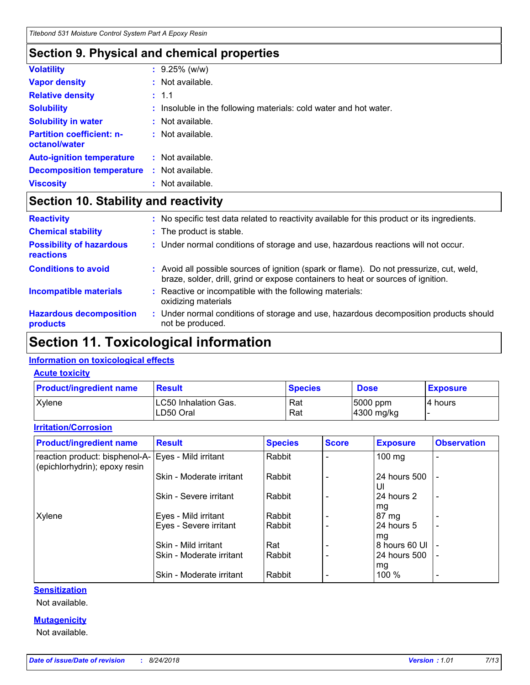# **Section 9. Physical and chemical properties**

| <b>Volatility</b>                                 | $: 9.25\%$ (w/w)                                                  |
|---------------------------------------------------|-------------------------------------------------------------------|
| <b>Vapor density</b>                              | $:$ Not available.                                                |
| <b>Relative density</b>                           | : 1.1                                                             |
| <b>Solubility</b>                                 | : Insoluble in the following materials: cold water and hot water. |
| <b>Solubility in water</b>                        | : Not available.                                                  |
| <b>Partition coefficient: n-</b><br>octanol/water | : Not available.                                                  |
| <b>Auto-ignition temperature</b>                  | $:$ Not available.                                                |
| <b>Decomposition temperature</b>                  | : Not available.                                                  |
| <b>Viscosity</b>                                  | : Not available.                                                  |

### **Section 10. Stability and reactivity**

| <b>Reactivity</b>                                   | : No specific test data related to reactivity available for this product or its ingredients.                                                                                 |
|-----------------------------------------------------|------------------------------------------------------------------------------------------------------------------------------------------------------------------------------|
| <b>Chemical stability</b>                           | : The product is stable.                                                                                                                                                     |
| <b>Possibility of hazardous</b><br><b>reactions</b> | : Under normal conditions of storage and use, hazardous reactions will not occur.                                                                                            |
| <b>Conditions to avoid</b>                          | : Avoid all possible sources of ignition (spark or flame). Do not pressurize, cut, weld,<br>braze, solder, drill, grind or expose containers to heat or sources of ignition. |
| <b>Incompatible materials</b>                       | Reactive or incompatible with the following materials:<br>oxidizing materials                                                                                                |
| <b>Hazardous decomposition</b><br>products          | : Under normal conditions of storage and use, hazardous decomposition products should<br>not be produced.                                                                    |

# **Section 11. Toxicological information**

### **Information on toxicological effects**

### **Acute toxicity**

| <b>Product/ingredient name</b> | <b>Result</b>                             | <b>Species</b> | <b>Dose</b>            | <b>Exposure</b> |
|--------------------------------|-------------------------------------------|----------------|------------------------|-----------------|
| <b>Xylene</b>                  | <b>ILC50 Inhalation Gas.</b><br>LD50 Oral | Rat<br>Rat     | 5000 ppm<br>4300 mg/kg | l4 hours        |

### **Irritation/Corrosion**

| <b>Product/ingredient name</b>                                  | <b>Result</b>            | <b>Species</b> | <b>Score</b> | <b>Exposure</b>    | <b>Observation</b>       |
|-----------------------------------------------------------------|--------------------------|----------------|--------------|--------------------|--------------------------|
| reaction product: bisphenol-A-<br>(epichlorhydrin); epoxy resin | Eyes - Mild irritant     | Rabbit         |              | 100 mg             |                          |
|                                                                 | Skin - Moderate irritant | Rabbit         |              | 24 hours 500<br>UI |                          |
|                                                                 | Skin - Severe irritant   | Rabbit         |              | 24 hours 2<br>mg   | $\blacksquare$           |
| Xylene                                                          | Eyes - Mild irritant     | Rabbit         |              | 87 mg              |                          |
|                                                                 | Eyes - Severe irritant   | Rabbit         |              | 24 hours 5<br>mg   | $\overline{\phantom{0}}$ |
|                                                                 | Skin - Mild irritant     | Rat            |              | 8 hours 60 UI      |                          |
|                                                                 | Skin - Moderate irritant | Rabbit         |              | 24 hours 500       | $\blacksquare$           |
|                                                                 |                          |                |              | mg                 |                          |
|                                                                 | Skin - Moderate irritant | Rabbit         |              | 100 %              | $\overline{\phantom{0}}$ |

### **Sensitization**

Not available.

### **Mutagenicity**

Not available.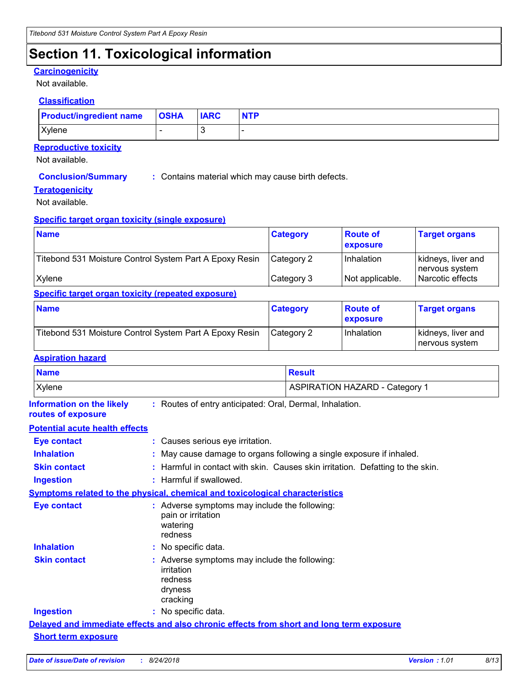# **Section 11. Toxicological information**

#### **Carcinogenicity**

Not available.

#### **Classification**

| <b>Product/ingredient name</b> | <b>OSHA</b> | <b>IARC</b> | <b>NTP</b> |
|--------------------------------|-------------|-------------|------------|
| Xylene                         |             | L.          |            |

### **Reproductive toxicity**

Not available.

**Conclusion/Summary :** Contains material which may cause birth defects.

#### **Teratogenicity**

Not available.

#### **Specific target organ toxicity (single exposure)**

| <b>Name</b>                                             | <b>Category</b> | ∣ Route of<br><b>exposure</b> | <b>Target organs</b>                 |
|---------------------------------------------------------|-----------------|-------------------------------|--------------------------------------|
| Titebond 531 Moisture Control System Part A Epoxy Resin | Category 2      | Inhalation                    | kidneys, liver and<br>nervous system |
| Xylene                                                  | Category 3      | Not applicable.               | Narcotic effects                     |

### **Specific target organ toxicity (repeated exposure)**

| <b>Name</b>                                             | <b>Category</b> | <b>Route of</b><br><b>exposure</b> | <b>Target organs</b>                  |  |
|---------------------------------------------------------|-----------------|------------------------------------|---------------------------------------|--|
| Titebond 531 Moisture Control System Part A Epoxy Resin | l Category 2    | Inhalation                         | kidneys, liver and<br>∣nervous svstem |  |

### **Aspiration hazard**

| <b>Name</b>                                            |                                                                                               | <b>Result</b>                                                                  |
|--------------------------------------------------------|-----------------------------------------------------------------------------------------------|--------------------------------------------------------------------------------|
| Xylene                                                 |                                                                                               | <b>ASPIRATION HAZARD - Category 1</b>                                          |
| <b>Information on the likely</b><br>routes of exposure | : Routes of entry anticipated: Oral, Dermal, Inhalation.                                      |                                                                                |
| <b>Potential acute health effects</b>                  |                                                                                               |                                                                                |
| <b>Eye contact</b>                                     | : Causes serious eye irritation.                                                              |                                                                                |
| <b>Inhalation</b>                                      |                                                                                               | : May cause damage to organs following a single exposure if inhaled.           |
| <b>Skin contact</b>                                    |                                                                                               | : Harmful in contact with skin. Causes skin irritation. Defatting to the skin. |
| <b>Ingestion</b>                                       | : Harmful if swallowed.                                                                       |                                                                                |
|                                                        | <b>Symptoms related to the physical, chemical and toxicological characteristics</b>           |                                                                                |
| <b>Eye contact</b>                                     | : Adverse symptoms may include the following:<br>pain or irritation<br>watering<br>redness    |                                                                                |
| <b>Inhalation</b>                                      | : No specific data.                                                                           |                                                                                |
| <b>Skin contact</b>                                    | : Adverse symptoms may include the following:<br>irritation<br>redness<br>dryness<br>cracking |                                                                                |
| <b>Ingestion</b>                                       | : No specific data.                                                                           |                                                                                |
|                                                        | Delayed and immediate effects and also chronic effects from short and long term exposure      |                                                                                |
| <b>Short term exposure</b>                             |                                                                                               |                                                                                |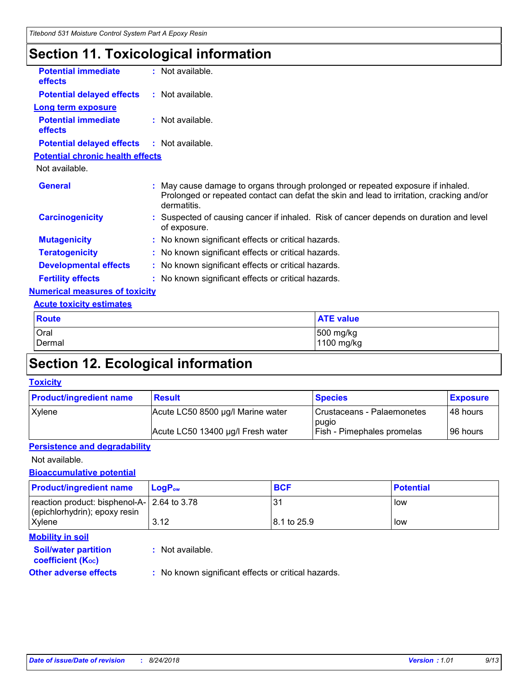# **Section 11. Toxicological information**

| <b>Potential immediate</b><br><b>effects</b> | $:$ Not available.                                                                                                                                                                       |
|----------------------------------------------|------------------------------------------------------------------------------------------------------------------------------------------------------------------------------------------|
| <b>Potential delayed effects</b>             | : Not available.                                                                                                                                                                         |
| <b>Long term exposure</b>                    |                                                                                                                                                                                          |
| <b>Potential immediate</b><br><b>effects</b> | $:$ Not available.                                                                                                                                                                       |
| <b>Potential delayed effects</b>             | : Not available.                                                                                                                                                                         |
| <b>Potential chronic health effects</b>      |                                                                                                                                                                                          |
| Not available.                               |                                                                                                                                                                                          |
| <b>General</b>                               | May cause damage to organs through prolonged or repeated exposure if inhaled.<br>Prolonged or repeated contact can defat the skin and lead to irritation, cracking and/or<br>dermatitis. |
| <b>Carcinogenicity</b>                       | Suspected of causing cancer if inhaled. Risk of cancer depends on duration and level<br>of exposure.                                                                                     |
| <b>Mutagenicity</b>                          | : No known significant effects or critical hazards.                                                                                                                                      |
| <b>Teratogenicity</b>                        | : No known significant effects or critical hazards.                                                                                                                                      |
| <b>Developmental effects</b>                 | : No known significant effects or critical hazards.                                                                                                                                      |
| <b>Fertility effects</b>                     | : No known significant effects or critical hazards.                                                                                                                                      |
| <b>Numerical measures of toxicity</b>        |                                                                                                                                                                                          |
| <b>Acute toxicity estimates</b>              |                                                                                                                                                                                          |
| <b>Route</b>                                 | <b>ATE value</b>                                                                                                                                                                         |

| Route                          | <b>ATE value</b>        |
|--------------------------------|-------------------------|
| <b>Oral</b><br><b>I</b> Dermal | 500 mg/kg<br>1100 mg/kg |
|                                |                         |

# **Section 12. Ecological information**

### **Toxicity**

| <b>Product/ingredient name</b> | <b>Result</b>                     | <b>Species</b>                      | <b>Exposure</b> |
|--------------------------------|-----------------------------------|-------------------------------------|-----------------|
| Xylene                         | Acute LC50 8500 µg/l Marine water | Crustaceans - Palaemonetes<br>pugio | 48 hours        |
|                                | Acute LC50 13400 µg/l Fresh water | <b>Fish - Pimephales promelas</b>   | 96 hours        |

### **Persistence and degradability**

Not available.

### **Bioaccumulative potential**

| <b>Product/ingredient name</b>                                                 | $LogP_{ow}$                                         | <b>BCF</b>  | <b>Potential</b> |
|--------------------------------------------------------------------------------|-----------------------------------------------------|-------------|------------------|
| reaction product: bisphenol-A-   2.64 to 3.78<br>(epichlorhydrin); epoxy resin |                                                     | <b>31</b>   | low              |
| Xylene                                                                         | 3.12                                                | 8.1 to 25.9 | low              |
| <b>Mobility in soil</b>                                                        |                                                     |             |                  |
| <b>Soil/water partition</b><br><b>coefficient (Koc)</b>                        | $:$ Not available.                                  |             |                  |
| <b>Other adverse effects</b>                                                   | : No known significant effects or critical hazards. |             |                  |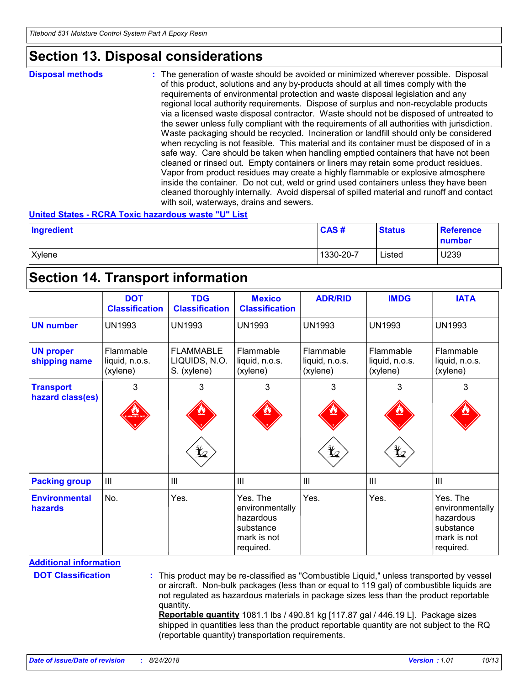### **Section 13. Disposal considerations**

**Disposal methods :**

The generation of waste should be avoided or minimized wherever possible. Disposal of this product, solutions and any by-products should at all times comply with the requirements of environmental protection and waste disposal legislation and any regional local authority requirements. Dispose of surplus and non-recyclable products via a licensed waste disposal contractor. Waste should not be disposed of untreated to the sewer unless fully compliant with the requirements of all authorities with jurisdiction. Waste packaging should be recycled. Incineration or landfill should only be considered when recycling is not feasible. This material and its container must be disposed of in a safe way. Care should be taken when handling emptied containers that have not been cleaned or rinsed out. Empty containers or liners may retain some product residues. Vapor from product residues may create a highly flammable or explosive atmosphere inside the container. Do not cut, weld or grind used containers unless they have been cleaned thoroughly internally. Avoid dispersal of spilled material and runoff and contact with soil, waterways, drains and sewers.

#### **United States - RCRA Toxic hazardous waste "U" List**

| Ingredient | CAS#      | <b>Status</b> | <b>Reference</b><br>number |
|------------|-----------|---------------|----------------------------|
| Xylene     | 1330-20-7 | Listed        | U239                       |

### **Section 14. Transport information**

|                                        | <b>DOT</b><br><b>Classification</b>     | <b>TDG</b><br><b>Classification</b>                | <b>Mexico</b><br><b>Classification</b>                                            | <b>ADR/RID</b>                                 | <b>IMDG</b>                             | <b>IATA</b>                                                                       |
|----------------------------------------|-----------------------------------------|----------------------------------------------------|-----------------------------------------------------------------------------------|------------------------------------------------|-----------------------------------------|-----------------------------------------------------------------------------------|
| <b>UN number</b>                       | <b>UN1993</b>                           | <b>UN1993</b>                                      | <b>UN1993</b>                                                                     | <b>UN1993</b>                                  | <b>UN1993</b>                           | <b>UN1993</b>                                                                     |
| <b>UN proper</b><br>shipping name      | Flammable<br>liquid, n.o.s.<br>(xylene) | <b>FLAMMABLE</b><br>LIQUIDS, N.O.<br>S. (xylene)   | Flammable<br>liquid, n.o.s.<br>(xylene)                                           | <b>Flammable</b><br>liquid, n.o.s.<br>(xylene) | Flammable<br>liquid, n.o.s.<br>(xylene) | Flammable<br>liquid, n.o.s.<br>(xylene)                                           |
| <b>Transport</b><br>hazard class(es)   | 3                                       | 3<br>$\mathbf{\mathbf{\underline{\mathbf{\Psi}}}}$ | 3                                                                                 | 3<br>$\bigstar$                                | 3<br>$\bigstar$                         | 3                                                                                 |
| <b>Packing group</b>                   | III                                     | $\mathbf{III}$                                     | III                                                                               | $\mathbf{III}$                                 | $\mathbf{III}$                          | III                                                                               |
| <b>Environmental</b><br><b>hazards</b> | No.                                     | Yes.                                               | Yes. The<br>environmentally<br>hazardous<br>substance<br>mark is not<br>required. | Yes.                                           | Yes.                                    | Yes. The<br>environmentally<br>hazardous<br>substance<br>mark is not<br>required. |

**DOT Classification :**

This product may be re-classified as "Combustible Liquid," unless transported by vessel or aircraft. Non-bulk packages (less than or equal to 119 gal) of combustible liquids are not regulated as hazardous materials in package sizes less than the product reportable quantity.

**Reportable quantity** 1081.1 lbs / 490.81 kg [117.87 gal / 446.19 L]. Package sizes shipped in quantities less than the product reportable quantity are not subject to the RQ (reportable quantity) transportation requirements.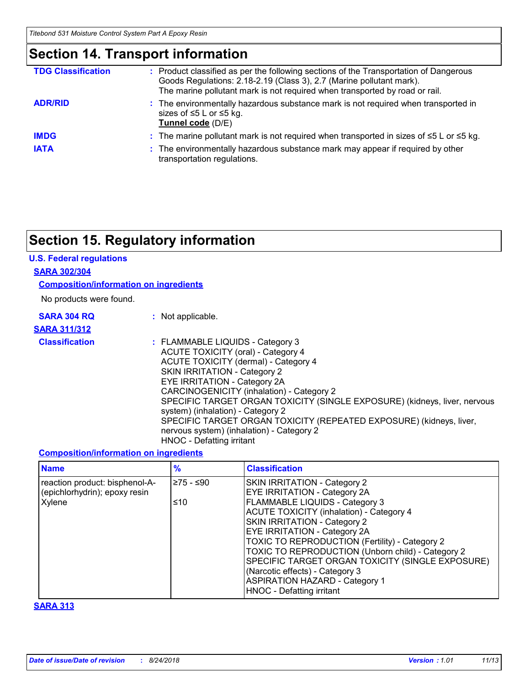# **Section 14. Transport information**

| <b>TDG Classification</b> | : Product classified as per the following sections of the Transportation of Dangerous<br>Goods Regulations: 2.18-2.19 (Class 3), 2.7 (Marine pollutant mark).<br>The marine pollutant mark is not required when transported by road or rail. |
|---------------------------|----------------------------------------------------------------------------------------------------------------------------------------------------------------------------------------------------------------------------------------------|
| <b>ADR/RID</b>            | : The environmentally hazardous substance mark is not required when transported in<br>sizes of $\leq$ 5 L or $\leq$ 5 kg.<br>Tunnel code (D/E)                                                                                               |
| <b>IMDG</b>               | : The marine pollutant mark is not required when transported in sizes of $\leq 5$ L or $\leq 5$ kg.                                                                                                                                          |
| <b>IATA</b>               | : The environmentally hazardous substance mark may appear if required by other<br>transportation regulations.                                                                                                                                |

# **Section 15. Regulatory information**

#### **U.S. Federal regulations**

#### **SARA 302/304**

**Composition/information on ingredients**

No products were found.

| <b>SARA 304 RQ</b>    | : Not applicable.                                                                                                                                                                                                                                                                                                                                                                                                                                                                              |
|-----------------------|------------------------------------------------------------------------------------------------------------------------------------------------------------------------------------------------------------------------------------------------------------------------------------------------------------------------------------------------------------------------------------------------------------------------------------------------------------------------------------------------|
| <b>SARA 311/312</b>   |                                                                                                                                                                                                                                                                                                                                                                                                                                                                                                |
| <b>Classification</b> | : FLAMMABLE LIQUIDS - Category 3<br>ACUTE TOXICITY (oral) - Category 4<br>ACUTE TOXICITY (dermal) - Category 4<br>SKIN IRRITATION - Category 2<br>EYE IRRITATION - Category 2A<br>CARCINOGENICITY (inhalation) - Category 2<br>SPECIFIC TARGET ORGAN TOXICITY (SINGLE EXPOSURE) (kidneys, liver, nervous<br>system) (inhalation) - Category 2<br>SPECIFIC TARGET ORGAN TOXICITY (REPEATED EXPOSURE) (kidneys, liver,<br>nervous system) (inhalation) - Category 2<br>HNOC - Defatting irritant |

#### **Composition/information on ingredients**

| <b>Name</b>                                                               | $\%$              | <b>Classification</b>                                                                                                                                                                                                                                                                                                                                                                                                                                                                        |
|---------------------------------------------------------------------------|-------------------|----------------------------------------------------------------------------------------------------------------------------------------------------------------------------------------------------------------------------------------------------------------------------------------------------------------------------------------------------------------------------------------------------------------------------------------------------------------------------------------------|
| reaction product: bisphenol-A-<br>(epichlorhydrin); epoxy resin<br>Xylene | l≥75 - ≤90<br>≤10 | SKIN IRRITATION - Category 2<br>EYE IRRITATION - Category 2A<br>FLAMMABLE LIQUIDS - Category 3<br><b>ACUTE TOXICITY (inhalation) - Category 4</b><br>SKIN IRRITATION - Category 2<br><b>EYE IRRITATION - Category 2A</b><br>TOXIC TO REPRODUCTION (Fertility) - Category 2<br>TOXIC TO REPRODUCTION (Unborn child) - Category 2<br>SPECIFIC TARGET ORGAN TOXICITY (SINGLE EXPOSURE)<br>(Narcotic effects) - Category 3<br><b>ASPIRATION HAZARD - Category 1</b><br>HNOC - Defatting irritant |

### **SARA 313**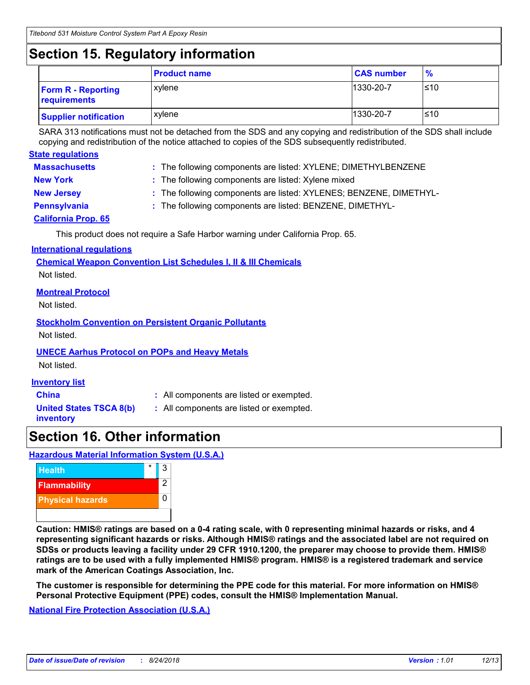# **Section 15. Regulatory information**

| . .                                       |                     |                   |               |
|-------------------------------------------|---------------------|-------------------|---------------|
|                                           | <b>Product name</b> | <b>CAS number</b> | $\frac{9}{6}$ |
| <b>Form R - Reporting</b><br>requirements | xylene              | 1330-20-7         | ≤10           |
| <b>Supplier notification</b>              | xvlene              | 1330-20-7         | ≤10           |

SARA 313 notifications must not be detached from the SDS and any copying and redistribution of the SDS shall include copying and redistribution of the notice attached to copies of the SDS subsequently redistributed.

| <b>State regulations</b> |                                                                    |
|--------------------------|--------------------------------------------------------------------|
| <b>Massachusetts</b>     | : The following components are listed: XYLENE; DIMETHYLBENZENE     |
| <b>New York</b>          | : The following components are listed: Xylene mixed                |
| <b>New Jersey</b>        | : The following components are listed: XYLENES; BENZENE, DIMETHYL- |
| Pennsylvania             | : The following components are listed: BENZENE, DIMETHYL-          |
| California Prop 65       |                                                                    |

**California Prop. 65**

This product does not require a Safe Harbor warning under California Prop. 65.

### **International regulations**

**Chemical Weapon Convention List Schedules I, II & III Chemicals** Not listed.

### **Montreal Protocol**

Not listed.

**Stockholm Convention on Persistent Organic Pollutants** Not listed.

### **UNECE Aarhus Protocol on POPs and Heavy Metals**

Not listed.

### **Inventory list**

**China :** All components are listed or exempted.

**United States TSCA 8(b) inventory**

**:** All components are listed or exempted.

## **Section 16. Other information**

**Hazardous Material Information System (U.S.A.)**



**Caution: HMIS® ratings are based on a 0-4 rating scale, with 0 representing minimal hazards or risks, and 4 representing significant hazards or risks. Although HMIS® ratings and the associated label are not required on SDSs or products leaving a facility under 29 CFR 1910.1200, the preparer may choose to provide them. HMIS® ratings are to be used with a fully implemented HMIS® program. HMIS® is a registered trademark and service mark of the American Coatings Association, Inc.**

**The customer is responsible for determining the PPE code for this material. For more information on HMIS® Personal Protective Equipment (PPE) codes, consult the HMIS® Implementation Manual.**

**National Fire Protection Association (U.S.A.)**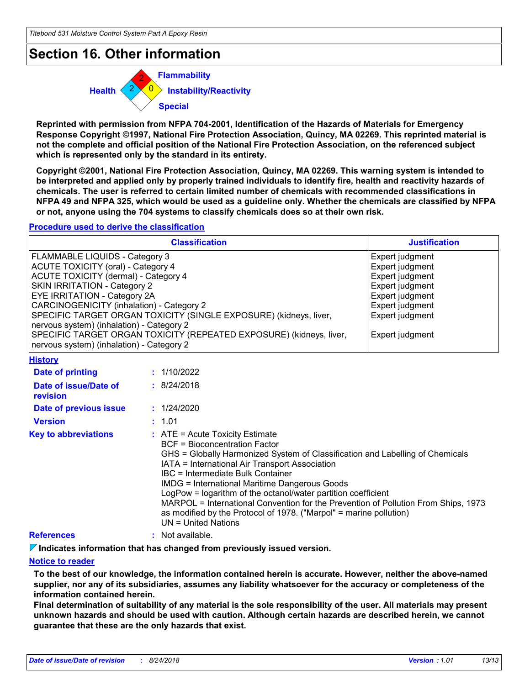### **Section 16. Other information**



**Reprinted with permission from NFPA 704-2001, Identification of the Hazards of Materials for Emergency Response Copyright ©1997, National Fire Protection Association, Quincy, MA 02269. This reprinted material is not the complete and official position of the National Fire Protection Association, on the referenced subject which is represented only by the standard in its entirety.**

**Copyright ©2001, National Fire Protection Association, Quincy, MA 02269. This warning system is intended to be interpreted and applied only by properly trained individuals to identify fire, health and reactivity hazards of chemicals. The user is referred to certain limited number of chemicals with recommended classifications in NFPA 49 and NFPA 325, which would be used as a guideline only. Whether the chemicals are classified by NFPA or not, anyone using the 704 systems to classify chemicals does so at their own risk.**

#### **Procedure used to derive the classification**

| <b>Classification</b>                                               | <b>Justification</b> |
|---------------------------------------------------------------------|----------------------|
| FLAMMABLE LIQUIDS - Category 3                                      | Expert judgment      |
| ACUTE TOXICITY (oral) - Category 4                                  | Expert judgment      |
| ACUTE TOXICITY (dermal) - Category 4                                | Expert judgment      |
| <b>SKIN IRRITATION - Category 2</b>                                 | Expert judgment      |
| <b>EYE IRRITATION - Category 2A</b>                                 | Expert judgment      |
| CARCINOGENICITY (inhalation) - Category 2                           | Expert judgment      |
| SPECIFIC TARGET ORGAN TOXICITY (SINGLE EXPOSURE) (kidneys, liver,   | Expert judgment      |
| nervous system) (inhalation) - Category 2                           |                      |
| SPECIFIC TARGET ORGAN TOXICITY (REPEATED EXPOSURE) (kidneys, liver, | Expert judgment      |
| Inervous system) (inhalation) - Category 2                          |                      |

**History**

| Date of printing                         | : 1/10/2022                                                                                                                                                                                                                                                                                                                                                                                                                                                                                                                                                       |
|------------------------------------------|-------------------------------------------------------------------------------------------------------------------------------------------------------------------------------------------------------------------------------------------------------------------------------------------------------------------------------------------------------------------------------------------------------------------------------------------------------------------------------------------------------------------------------------------------------------------|
| Date of issue/Date of<br><b>revision</b> | : 8/24/2018                                                                                                                                                                                                                                                                                                                                                                                                                                                                                                                                                       |
| Date of previous issue                   | : 1/24/2020                                                                                                                                                                                                                                                                                                                                                                                                                                                                                                                                                       |
| <b>Version</b>                           | : 1.01                                                                                                                                                                                                                                                                                                                                                                                                                                                                                                                                                            |
| <b>Key to abbreviations</b>              | $\therefore$ ATE = Acute Toxicity Estimate<br>BCF = Bioconcentration Factor<br>GHS = Globally Harmonized System of Classification and Labelling of Chemicals<br>IATA = International Air Transport Association<br>IBC = Intermediate Bulk Container<br><b>IMDG = International Maritime Dangerous Goods</b><br>LogPow = logarithm of the octanol/water partition coefficient<br>MARPOL = International Convention for the Prevention of Pollution From Ships, 1973<br>as modified by the Protocol of 1978. ("Marpol" = marine pollution)<br>$UN = United Nations$ |
| <b>References</b>                        | : Not available.                                                                                                                                                                                                                                                                                                                                                                                                                                                                                                                                                  |

**Indicates information that has changed from previously issued version.**

#### **Notice to reader**

**To the best of our knowledge, the information contained herein is accurate. However, neither the above-named supplier, nor any of its subsidiaries, assumes any liability whatsoever for the accuracy or completeness of the information contained herein.**

**Final determination of suitability of any material is the sole responsibility of the user. All materials may present unknown hazards and should be used with caution. Although certain hazards are described herein, we cannot guarantee that these are the only hazards that exist.**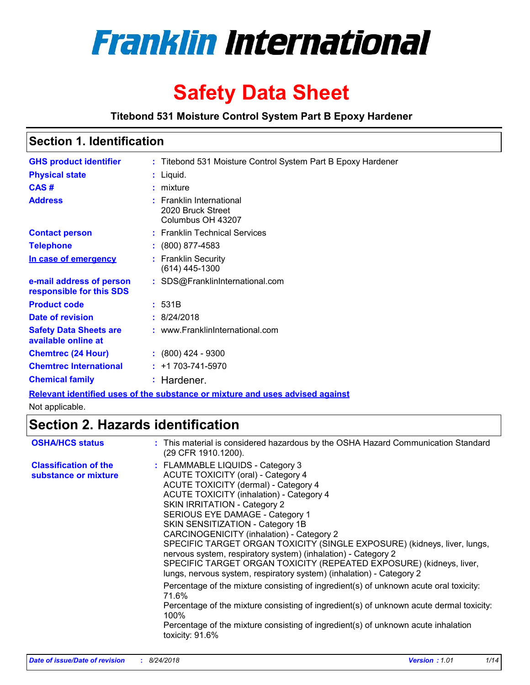

# **Safety Data Sheet**

**Titebond 531 Moisture Control System Part B Epoxy Hardener**

| <b>Section 1. Identification</b> |                                                                    |  |
|----------------------------------|--------------------------------------------------------------------|--|
| <b>GHS product identifier</b>    | : Titebond 531 Moisture Control System Part B Epoxy Hardener       |  |
| <b>Physical state</b>            | $:$ Liquid.                                                        |  |
| CAS#                             | $:$ mixture                                                        |  |
| <b>Address</b>                   | : Franklin International<br>2020 Bruck Street<br>Columbus OH 43207 |  |
| <b><i>Paulant navadu</i></b>     | . Escaldo Technical Compace                                        |  |

| <b>Contact person</b>                                | : Franklin Technical Services         |
|------------------------------------------------------|---------------------------------------|
| <b>Telephone</b>                                     | $: (800) 877 - 4583$                  |
| In case of emergency                                 | : Franklin Security<br>(614) 445-1300 |
| e-mail address of person<br>responsible for this SDS | : SDS@FranklinInternational.com       |
| <b>Product code</b>                                  | : 531B                                |
| Date of revision                                     | : 8/24/2018                           |
| <b>Safety Data Sheets are</b><br>available online at | : www.FranklinInternational.com       |
| <b>Chemtrec (24 Hour)</b>                            | $: (800)$ 424 - 9300                  |
| <b>Chemtrec International</b>                        | $: +1703 - 741 - 5970$                |
| <b>Chemical family</b>                               | : Hardener.                           |

**Relevant identified uses of the substance or mixture and uses advised against**

Not applicable.

# **Section 2. Hazards identification**

| <b>OSHA/HCS status</b>                               | : This material is considered hazardous by the OSHA Hazard Communication Standard<br>(29 CFR 1910.1200).                                                                                                                                                                                                                                                                                                                                                                                                                                                                                                                                                                                                                                                                                                                                                                                                                                     |
|------------------------------------------------------|----------------------------------------------------------------------------------------------------------------------------------------------------------------------------------------------------------------------------------------------------------------------------------------------------------------------------------------------------------------------------------------------------------------------------------------------------------------------------------------------------------------------------------------------------------------------------------------------------------------------------------------------------------------------------------------------------------------------------------------------------------------------------------------------------------------------------------------------------------------------------------------------------------------------------------------------|
| <b>Classification of the</b><br>substance or mixture | : FLAMMABLE LIQUIDS - Category 3<br><b>ACUTE TOXICITY (oral) - Category 4</b><br>ACUTE TOXICITY (dermal) - Category 4<br><b>ACUTE TOXICITY (inhalation) - Category 4</b><br><b>SKIN IRRITATION - Category 2</b><br>SERIOUS EYE DAMAGE - Category 1<br>SKIN SENSITIZATION - Category 1B<br>CARCINOGENICITY (inhalation) - Category 2<br>SPECIFIC TARGET ORGAN TOXICITY (SINGLE EXPOSURE) (kidneys, liver, lungs,<br>nervous system, respiratory system) (inhalation) - Category 2<br>SPECIFIC TARGET ORGAN TOXICITY (REPEATED EXPOSURE) (kidneys, liver,<br>lungs, nervous system, respiratory system) (inhalation) - Category 2<br>Percentage of the mixture consisting of ingredient(s) of unknown acute oral toxicity:<br>71.6%<br>Percentage of the mixture consisting of ingredient(s) of unknown acute dermal toxicity:<br>100%<br>Percentage of the mixture consisting of ingredient(s) of unknown acute inhalation<br>toxicity: 91.6% |
|                                                      |                                                                                                                                                                                                                                                                                                                                                                                                                                                                                                                                                                                                                                                                                                                                                                                                                                                                                                                                              |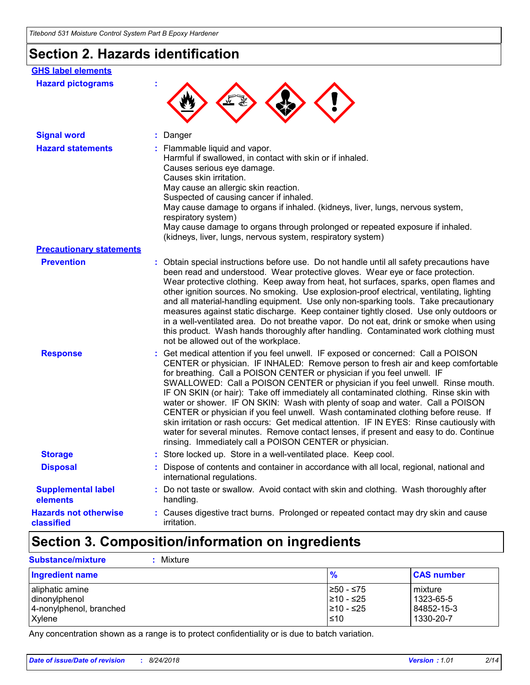# **Section 2. Hazards identification**

| <b>GHS label elements</b>                  |                                                                                                                                                                                                                                                                                                                                                                                                                                                                                                                                                                                                                                                                                                                                                                                                                                                      |
|--------------------------------------------|------------------------------------------------------------------------------------------------------------------------------------------------------------------------------------------------------------------------------------------------------------------------------------------------------------------------------------------------------------------------------------------------------------------------------------------------------------------------------------------------------------------------------------------------------------------------------------------------------------------------------------------------------------------------------------------------------------------------------------------------------------------------------------------------------------------------------------------------------|
| <b>Hazard pictograms</b>                   |                                                                                                                                                                                                                                                                                                                                                                                                                                                                                                                                                                                                                                                                                                                                                                                                                                                      |
| <b>Signal word</b>                         | Danger                                                                                                                                                                                                                                                                                                                                                                                                                                                                                                                                                                                                                                                                                                                                                                                                                                               |
| <b>Hazard statements</b>                   | : Flammable liquid and vapor.<br>Harmful if swallowed, in contact with skin or if inhaled.<br>Causes serious eye damage.<br>Causes skin irritation.<br>May cause an allergic skin reaction.<br>Suspected of causing cancer if inhaled.<br>May cause damage to organs if inhaled. (kidneys, liver, lungs, nervous system,<br>respiratory system)<br>May cause damage to organs through prolonged or repeated exposure if inhaled.<br>(kidneys, liver, lungs, nervous system, respiratory system)                                                                                                                                                                                                                                                                                                                                                      |
| <b>Precautionary statements</b>            |                                                                                                                                                                                                                                                                                                                                                                                                                                                                                                                                                                                                                                                                                                                                                                                                                                                      |
| <b>Prevention</b>                          | : Obtain special instructions before use. Do not handle until all safety precautions have<br>been read and understood. Wear protective gloves. Wear eye or face protection.<br>Wear protective clothing. Keep away from heat, hot surfaces, sparks, open flames and<br>other ignition sources. No smoking. Use explosion-proof electrical, ventilating, lighting<br>and all material-handling equipment. Use only non-sparking tools. Take precautionary<br>measures against static discharge. Keep container tightly closed. Use only outdoors or<br>in a well-ventilated area. Do not breathe vapor. Do not eat, drink or smoke when using<br>this product. Wash hands thoroughly after handling. Contaminated work clothing must<br>not be allowed out of the workplace.                                                                          |
| <b>Response</b>                            | : Get medical attention if you feel unwell. IF exposed or concerned: Call a POISON<br>CENTER or physician. IF INHALED: Remove person to fresh air and keep comfortable<br>for breathing. Call a POISON CENTER or physician if you feel unwell. IF<br>SWALLOWED: Call a POISON CENTER or physician if you feel unwell. Rinse mouth.<br>IF ON SKIN (or hair): Take off immediately all contaminated clothing. Rinse skin with<br>water or shower. IF ON SKIN: Wash with plenty of soap and water. Call a POISON<br>CENTER or physician if you feel unwell. Wash contaminated clothing before reuse. If<br>skin irritation or rash occurs: Get medical attention. IF IN EYES: Rinse cautiously with<br>water for several minutes. Remove contact lenses, if present and easy to do. Continue<br>rinsing. Immediately call a POISON CENTER or physician. |
| <b>Storage</b>                             | : Store locked up. Store in a well-ventilated place. Keep cool.                                                                                                                                                                                                                                                                                                                                                                                                                                                                                                                                                                                                                                                                                                                                                                                      |
| <b>Disposal</b>                            | Dispose of contents and container in accordance with all local, regional, national and<br>international regulations.                                                                                                                                                                                                                                                                                                                                                                                                                                                                                                                                                                                                                                                                                                                                 |
| <b>Supplemental label</b><br>elements      | : Do not taste or swallow. Avoid contact with skin and clothing. Wash thoroughly after<br>handling.                                                                                                                                                                                                                                                                                                                                                                                                                                                                                                                                                                                                                                                                                                                                                  |
| <b>Hazards not otherwise</b><br>classified | : Causes digestive tract burns. Prolonged or repeated contact may dry skin and cause<br><i>irritation.</i>                                                                                                                                                                                                                                                                                                                                                                                                                                                                                                                                                                                                                                                                                                                                           |

# **Section 3. Composition/information on ingredients**

| <b>Substance/mixture</b><br>: Mixture                                 |                                              |                                                     |
|-----------------------------------------------------------------------|----------------------------------------------|-----------------------------------------------------|
| <b>Ingredient name</b>                                                | $\frac{9}{6}$                                | <b>CAS number</b>                                   |
| aliphatic amine<br>dinonylphenol<br>4-nonylphenol, branched<br>Xylene | 1≥50 - ≤75<br>210 - ≤25<br>I≥10 - ≤25<br>≤10 | l mixture<br>  1323-65-5<br>84852-15-3<br>1330-20-7 |

Any concentration shown as a range is to protect confidentiality or is due to batch variation.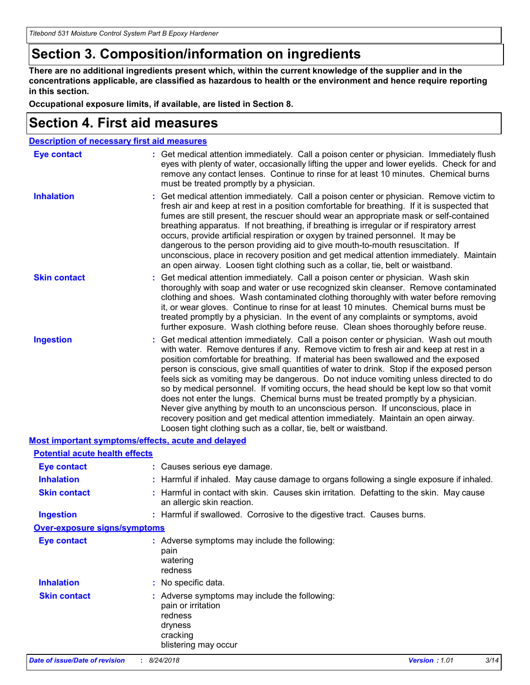# **Section 3. Composition/information on ingredients**

**There are no additional ingredients present which, within the current knowledge of the supplier and in the concentrations applicable, are classified as hazardous to health or the environment and hence require reporting in this section.**

**Occupational exposure limits, if available, are listed in Section 8.**

### **Section 4. First aid measures**

| <b>Description of necessary first aid measures</b> |                                                                                                                                                                                                                                                                                                                                                                                                                                                                                                                                                                                                                                                                                                                                                                                                                                                                                     |  |  |  |  |  |
|----------------------------------------------------|-------------------------------------------------------------------------------------------------------------------------------------------------------------------------------------------------------------------------------------------------------------------------------------------------------------------------------------------------------------------------------------------------------------------------------------------------------------------------------------------------------------------------------------------------------------------------------------------------------------------------------------------------------------------------------------------------------------------------------------------------------------------------------------------------------------------------------------------------------------------------------------|--|--|--|--|--|
| <b>Eye contact</b>                                 | : Get medical attention immediately. Call a poison center or physician. Immediately flush<br>eyes with plenty of water, occasionally lifting the upper and lower eyelids. Check for and<br>remove any contact lenses. Continue to rinse for at least 10 minutes. Chemical burns<br>must be treated promptly by a physician.                                                                                                                                                                                                                                                                                                                                                                                                                                                                                                                                                         |  |  |  |  |  |
| <b>Inhalation</b>                                  | : Get medical attention immediately. Call a poison center or physician. Remove victim to<br>fresh air and keep at rest in a position comfortable for breathing. If it is suspected that<br>fumes are still present, the rescuer should wear an appropriate mask or self-contained<br>breathing apparatus. If not breathing, if breathing is irregular or if respiratory arrest<br>occurs, provide artificial respiration or oxygen by trained personnel. It may be<br>dangerous to the person providing aid to give mouth-to-mouth resuscitation. If<br>unconscious, place in recovery position and get medical attention immediately. Maintain<br>an open airway. Loosen tight clothing such as a collar, tie, belt or waistband.                                                                                                                                                  |  |  |  |  |  |
| <b>Skin contact</b>                                | : Get medical attention immediately. Call a poison center or physician. Wash skin<br>thoroughly with soap and water or use recognized skin cleanser. Remove contaminated<br>clothing and shoes. Wash contaminated clothing thoroughly with water before removing<br>it, or wear gloves. Continue to rinse for at least 10 minutes. Chemical burns must be<br>treated promptly by a physician. In the event of any complaints or symptoms, avoid<br>further exposure. Wash clothing before reuse. Clean shoes thoroughly before reuse.                                                                                                                                                                                                                                                                                                                                               |  |  |  |  |  |
| <b>Ingestion</b>                                   | : Get medical attention immediately. Call a poison center or physician. Wash out mouth<br>with water. Remove dentures if any. Remove victim to fresh air and keep at rest in a<br>position comfortable for breathing. If material has been swallowed and the exposed<br>person is conscious, give small quantities of water to drink. Stop if the exposed person<br>feels sick as vomiting may be dangerous. Do not induce vomiting unless directed to do<br>so by medical personnel. If vomiting occurs, the head should be kept low so that vomit<br>does not enter the lungs. Chemical burns must be treated promptly by a physician.<br>Never give anything by mouth to an unconscious person. If unconscious, place in<br>recovery position and get medical attention immediately. Maintain an open airway.<br>Loosen tight clothing such as a collar, tie, belt or waistband. |  |  |  |  |  |
| Most important symptoms/effects, acute and delayed |                                                                                                                                                                                                                                                                                                                                                                                                                                                                                                                                                                                                                                                                                                                                                                                                                                                                                     |  |  |  |  |  |
| <b>Potential acute health effects</b>              |                                                                                                                                                                                                                                                                                                                                                                                                                                                                                                                                                                                                                                                                                                                                                                                                                                                                                     |  |  |  |  |  |
| <b>Eye contact</b>                                 | : Causes serious eye damage.                                                                                                                                                                                                                                                                                                                                                                                                                                                                                                                                                                                                                                                                                                                                                                                                                                                        |  |  |  |  |  |
| <b>Inhalation</b>                                  | : Harmful if inhaled. May cause damage to organs following a single exposure if inhaled.                                                                                                                                                                                                                                                                                                                                                                                                                                                                                                                                                                                                                                                                                                                                                                                            |  |  |  |  |  |
| <b>Skin contact</b>                                | : Harmful in contact with skin. Causes skin irritation. Defatting to the skin. May cause<br>an allergic skin reaction.                                                                                                                                                                                                                                                                                                                                                                                                                                                                                                                                                                                                                                                                                                                                                              |  |  |  |  |  |
| <b>Ingestion</b>                                   | : Harmful if swallowed. Corrosive to the digestive tract. Causes burns.                                                                                                                                                                                                                                                                                                                                                                                                                                                                                                                                                                                                                                                                                                                                                                                                             |  |  |  |  |  |
| Over-exposure signs/symptoms                       |                                                                                                                                                                                                                                                                                                                                                                                                                                                                                                                                                                                                                                                                                                                                                                                                                                                                                     |  |  |  |  |  |
| <b>Eye contact</b>                                 | : Adverse symptoms may include the following:<br>pain<br>watering<br>redness                                                                                                                                                                                                                                                                                                                                                                                                                                                                                                                                                                                                                                                                                                                                                                                                        |  |  |  |  |  |
| <b>Inhalation</b>                                  | : No specific data.                                                                                                                                                                                                                                                                                                                                                                                                                                                                                                                                                                                                                                                                                                                                                                                                                                                                 |  |  |  |  |  |
| <b>Skin contact</b>                                | : Adverse symptoms may include the following:<br>pain or irritation<br>redness<br>dryness<br>cracking<br>blistering may occur                                                                                                                                                                                                                                                                                                                                                                                                                                                                                                                                                                                                                                                                                                                                                       |  |  |  |  |  |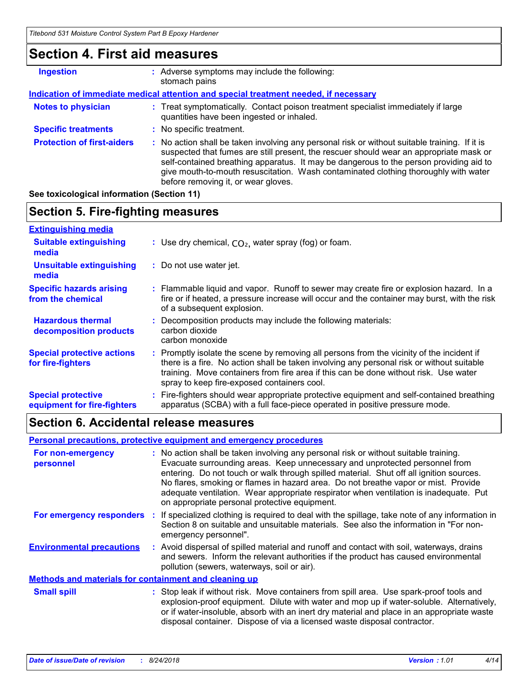# **Section 4. First aid measures**

| <b>Ingestion</b>                  | : Adverse symptoms may include the following:<br>stomach pains                                                                                                                                                                                                                                                                                                                                                  |  |  |  |
|-----------------------------------|-----------------------------------------------------------------------------------------------------------------------------------------------------------------------------------------------------------------------------------------------------------------------------------------------------------------------------------------------------------------------------------------------------------------|--|--|--|
|                                   | Indication of immediate medical attention and special treatment needed, if necessary                                                                                                                                                                                                                                                                                                                            |  |  |  |
| <b>Notes to physician</b>         | : Treat symptomatically. Contact poison treatment specialist immediately if large<br>quantities have been ingested or inhaled.                                                                                                                                                                                                                                                                                  |  |  |  |
| <b>Specific treatments</b>        | : No specific treatment.                                                                                                                                                                                                                                                                                                                                                                                        |  |  |  |
| <b>Protection of first-aiders</b> | : No action shall be taken involving any personal risk or without suitable training. If it is<br>suspected that fumes are still present, the rescuer should wear an appropriate mask or<br>self-contained breathing apparatus. It may be dangerous to the person providing aid to<br>give mouth-to-mouth resuscitation. Wash contaminated clothing thoroughly with water<br>before removing it, or wear gloves. |  |  |  |

### **See toxicological information (Section 11)**

### **Section 5. Fire-fighting measures**

| <b>Extinguishing media</b>                               |                                                                                                                                                                                                                                                                                                                             |
|----------------------------------------------------------|-----------------------------------------------------------------------------------------------------------------------------------------------------------------------------------------------------------------------------------------------------------------------------------------------------------------------------|
| <b>Suitable extinguishing</b><br>media                   | : Use dry chemical, $CO2$ , water spray (fog) or foam.                                                                                                                                                                                                                                                                      |
| <b>Unsuitable extinguishing</b><br>media                 | : Do not use water jet.                                                                                                                                                                                                                                                                                                     |
| <b>Specific hazards arising</b><br>from the chemical     | : Flammable liquid and vapor. Runoff to sewer may create fire or explosion hazard. In a<br>fire or if heated, a pressure increase will occur and the container may burst, with the risk<br>of a subsequent explosion.                                                                                                       |
| <b>Hazardous thermal</b><br>decomposition products       | Decomposition products may include the following materials:<br>carbon dioxide<br>carbon monoxide                                                                                                                                                                                                                            |
| <b>Special protective actions</b><br>for fire-fighters   | Promptly isolate the scene by removing all persons from the vicinity of the incident if<br>there is a fire. No action shall be taken involving any personal risk or without suitable<br>training. Move containers from fire area if this can be done without risk. Use water<br>spray to keep fire-exposed containers cool. |
| <b>Special protective</b><br>equipment for fire-fighters | : Fire-fighters should wear appropriate protective equipment and self-contained breathing<br>apparatus (SCBA) with a full face-piece operated in positive pressure mode.                                                                                                                                                    |

### **Section 6. Accidental release measures**

|                                                              | <b>Personal precautions, protective equipment and emergency procedures</b>                                                                                                                                                                                                                                                                                                                                                                                                                     |
|--------------------------------------------------------------|------------------------------------------------------------------------------------------------------------------------------------------------------------------------------------------------------------------------------------------------------------------------------------------------------------------------------------------------------------------------------------------------------------------------------------------------------------------------------------------------|
| For non-emergency<br>personnel                               | : No action shall be taken involving any personal risk or without suitable training.<br>Evacuate surrounding areas. Keep unnecessary and unprotected personnel from<br>entering. Do not touch or walk through spilled material. Shut off all ignition sources.<br>No flares, smoking or flames in hazard area. Do not breathe vapor or mist. Provide<br>adequate ventilation. Wear appropriate respirator when ventilation is inadequate. Put<br>on appropriate personal protective equipment. |
|                                                              | For emergency responders : If specialized clothing is required to deal with the spillage, take note of any information in<br>Section 8 on suitable and unsuitable materials. See also the information in "For non-<br>emergency personnel".                                                                                                                                                                                                                                                    |
| <b>Environmental precautions</b>                             | : Avoid dispersal of spilled material and runoff and contact with soil, waterways, drains<br>and sewers. Inform the relevant authorities if the product has caused environmental<br>pollution (sewers, waterways, soil or air).                                                                                                                                                                                                                                                                |
| <b>Methods and materials for containment and cleaning up</b> |                                                                                                                                                                                                                                                                                                                                                                                                                                                                                                |
| <b>Small spill</b>                                           | : Stop leak if without risk. Move containers from spill area. Use spark-proof tools and<br>explosion-proof equipment. Dilute with water and mop up if water-soluble. Alternatively,<br>or if water-insoluble, absorb with an inert dry material and place in an appropriate waste<br>disposal container. Dispose of via a licensed waste disposal contractor.                                                                                                                                  |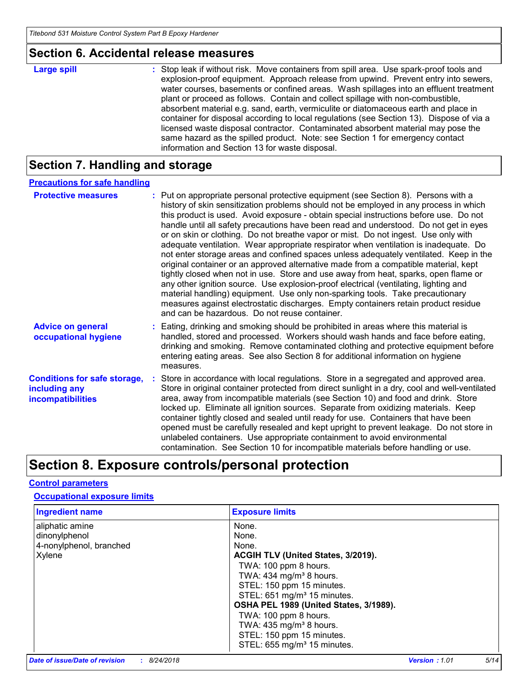### **Section 6. Accidental release measures**

| <b>Large spill</b> | : Stop leak if without risk. Move containers from spill area. Use spark-proof tools and<br>explosion-proof equipment. Approach release from upwind. Prevent entry into sewers,<br>water courses, basements or confined areas. Wash spillages into an effluent treatment<br>plant or proceed as follows. Contain and collect spillage with non-combustible,<br>absorbent material e.g. sand, earth, vermiculite or diatomaceous earth and place in<br>container for disposal according to local regulations (see Section 13). Dispose of via a<br>licensed waste disposal contractor. Contaminated absorbent material may pose the<br>same hazard as the spilled product. Note: see Section 1 for emergency contact |
|--------------------|--------------------------------------------------------------------------------------------------------------------------------------------------------------------------------------------------------------------------------------------------------------------------------------------------------------------------------------------------------------------------------------------------------------------------------------------------------------------------------------------------------------------------------------------------------------------------------------------------------------------------------------------------------------------------------------------------------------------|
|                    | information and Section 13 for waste disposal.                                                                                                                                                                                                                                                                                                                                                                                                                                                                                                                                                                                                                                                                     |

# **Section 7. Handling and storage**

### **Precautions for safe handling**

| <b>Protective measures</b>                                                       | : Put on appropriate personal protective equipment (see Section 8). Persons with a<br>history of skin sensitization problems should not be employed in any process in which<br>this product is used. Avoid exposure - obtain special instructions before use. Do not<br>handle until all safety precautions have been read and understood. Do not get in eyes<br>or on skin or clothing. Do not breathe vapor or mist. Do not ingest. Use only with<br>adequate ventilation. Wear appropriate respirator when ventilation is inadequate. Do<br>not enter storage areas and confined spaces unless adequately ventilated. Keep in the<br>original container or an approved alternative made from a compatible material, kept<br>tightly closed when not in use. Store and use away from heat, sparks, open flame or<br>any other ignition source. Use explosion-proof electrical (ventilating, lighting and<br>material handling) equipment. Use only non-sparking tools. Take precautionary<br>measures against electrostatic discharges. Empty containers retain product residue<br>and can be hazardous. Do not reuse container. |
|----------------------------------------------------------------------------------|------------------------------------------------------------------------------------------------------------------------------------------------------------------------------------------------------------------------------------------------------------------------------------------------------------------------------------------------------------------------------------------------------------------------------------------------------------------------------------------------------------------------------------------------------------------------------------------------------------------------------------------------------------------------------------------------------------------------------------------------------------------------------------------------------------------------------------------------------------------------------------------------------------------------------------------------------------------------------------------------------------------------------------------------------------------------------------------------------------------------------------|
| <b>Advice on general</b><br>occupational hygiene                                 | : Eating, drinking and smoking should be prohibited in areas where this material is<br>handled, stored and processed. Workers should wash hands and face before eating,<br>drinking and smoking. Remove contaminated clothing and protective equipment before<br>entering eating areas. See also Section 8 for additional information on hygiene<br>measures.                                                                                                                                                                                                                                                                                                                                                                                                                                                                                                                                                                                                                                                                                                                                                                      |
| <b>Conditions for safe storage,</b><br>including any<br><b>incompatibilities</b> | Store in accordance with local regulations. Store in a segregated and approved area.<br>Store in original container protected from direct sunlight in a dry, cool and well-ventilated<br>area, away from incompatible materials (see Section 10) and food and drink. Store<br>locked up. Eliminate all ignition sources. Separate from oxidizing materials. Keep<br>container tightly closed and sealed until ready for use. Containers that have been<br>opened must be carefully resealed and kept upright to prevent leakage. Do not store in<br>unlabeled containers. Use appropriate containment to avoid environmental<br>contamination. See Section 10 for incompatible materials before handling or use.                                                                                                                                                                                                                                                                                                                                                                                                                   |

# **Section 8. Exposure controls/personal protection**

### **Control parameters**

#### **Occupational exposure limits**

| <b>Ingredient name</b>  | <b>Exposure limits</b>                  |
|-------------------------|-----------------------------------------|
| aliphatic amine         | None.                                   |
| dinonylphenol           | None.                                   |
| 4-nonylphenol, branched | None.                                   |
| Xylene                  | ACGIH TLV (United States, 3/2019).      |
|                         | TWA: 100 ppm 8 hours.                   |
|                         | TWA: 434 mg/m <sup>3</sup> 8 hours.     |
|                         | STEL: 150 ppm 15 minutes.               |
|                         | STEL: 651 mg/m <sup>3</sup> 15 minutes. |
|                         | OSHA PEL 1989 (United States, 3/1989).  |
|                         | TWA: 100 ppm 8 hours.                   |
|                         | TWA: 435 mg/m <sup>3</sup> 8 hours.     |
|                         | STEL: 150 ppm 15 minutes.               |
|                         | STEL: 655 mg/m <sup>3</sup> 15 minutes. |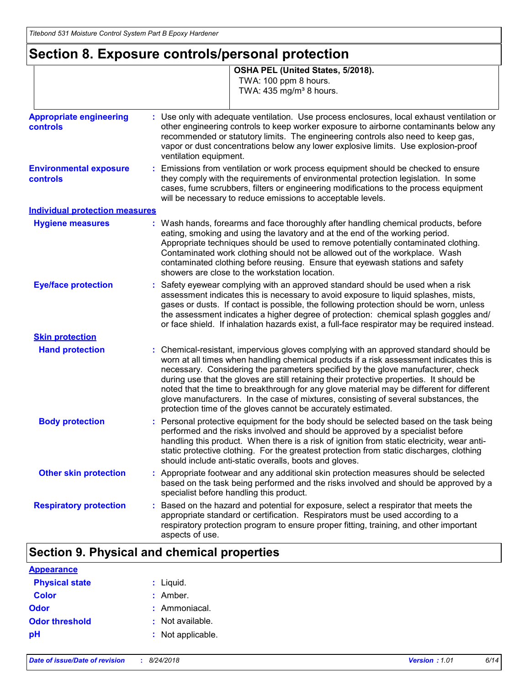# **Section 8. Exposure controls/personal protection**

|                                            | OSHA PEL (United States, 5/2018).<br>TWA: 100 ppm 8 hours.<br>TWA: 435 mg/m <sup>3</sup> 8 hours.                                                                                                                                                                                                                                                                                                                                                                                                                                                                                                                      |  |  |  |
|--------------------------------------------|------------------------------------------------------------------------------------------------------------------------------------------------------------------------------------------------------------------------------------------------------------------------------------------------------------------------------------------------------------------------------------------------------------------------------------------------------------------------------------------------------------------------------------------------------------------------------------------------------------------------|--|--|--|
| <b>Appropriate engineering</b><br>controls | : Use only with adequate ventilation. Use process enclosures, local exhaust ventilation or<br>other engineering controls to keep worker exposure to airborne contaminants below any<br>recommended or statutory limits. The engineering controls also need to keep gas,<br>vapor or dust concentrations below any lower explosive limits. Use explosion-proof<br>ventilation equipment.                                                                                                                                                                                                                                |  |  |  |
| <b>Environmental exposure</b><br>controls  | Emissions from ventilation or work process equipment should be checked to ensure<br>they comply with the requirements of environmental protection legislation. In some<br>cases, fume scrubbers, filters or engineering modifications to the process equipment<br>will be necessary to reduce emissions to acceptable levels.                                                                                                                                                                                                                                                                                          |  |  |  |
| <b>Individual protection measures</b>      |                                                                                                                                                                                                                                                                                                                                                                                                                                                                                                                                                                                                                        |  |  |  |
| <b>Hygiene measures</b>                    | : Wash hands, forearms and face thoroughly after handling chemical products, before<br>eating, smoking and using the lavatory and at the end of the working period.<br>Appropriate techniques should be used to remove potentially contaminated clothing.<br>Contaminated work clothing should not be allowed out of the workplace. Wash<br>contaminated clothing before reusing. Ensure that eyewash stations and safety<br>showers are close to the workstation location.                                                                                                                                            |  |  |  |
| <b>Eye/face protection</b>                 | : Safety eyewear complying with an approved standard should be used when a risk<br>assessment indicates this is necessary to avoid exposure to liquid splashes, mists,<br>gases or dusts. If contact is possible, the following protection should be worn, unless<br>the assessment indicates a higher degree of protection: chemical splash goggles and/<br>or face shield. If inhalation hazards exist, a full-face respirator may be required instead.                                                                                                                                                              |  |  |  |
| <b>Skin protection</b>                     |                                                                                                                                                                                                                                                                                                                                                                                                                                                                                                                                                                                                                        |  |  |  |
| <b>Hand protection</b>                     | : Chemical-resistant, impervious gloves complying with an approved standard should be<br>worn at all times when handling chemical products if a risk assessment indicates this is<br>necessary. Considering the parameters specified by the glove manufacturer, check<br>during use that the gloves are still retaining their protective properties. It should be<br>noted that the time to breakthrough for any glove material may be different for different<br>glove manufacturers. In the case of mixtures, consisting of several substances, the<br>protection time of the gloves cannot be accurately estimated. |  |  |  |
| <b>Body protection</b>                     | : Personal protective equipment for the body should be selected based on the task being<br>performed and the risks involved and should be approved by a specialist before<br>handling this product. When there is a risk of ignition from static electricity, wear anti-<br>static protective clothing. For the greatest protection from static discharges, clothing<br>should include anti-static overalls, boots and gloves.                                                                                                                                                                                         |  |  |  |
| <b>Other skin protection</b>               | : Appropriate footwear and any additional skin protection measures should be selected<br>based on the task being performed and the risks involved and should be approved by a<br>specialist before handling this product.                                                                                                                                                                                                                                                                                                                                                                                              |  |  |  |
| <b>Respiratory protection</b>              | Based on the hazard and potential for exposure, select a respirator that meets the<br>appropriate standard or certification. Respirators must be used according to a<br>respiratory protection program to ensure proper fitting, training, and other important<br>aspects of use.                                                                                                                                                                                                                                                                                                                                      |  |  |  |

### **Section 9. Physical and chemical properties**

| <b>Appearance</b>     |                   |
|-----------------------|-------------------|
| <b>Physical state</b> | : Liquid.         |
| Color                 | $:$ Amber.        |
| Odor                  | : Ammoniacal.     |
| <b>Odor threshold</b> | : Not available.  |
| рH                    | : Not applicable. |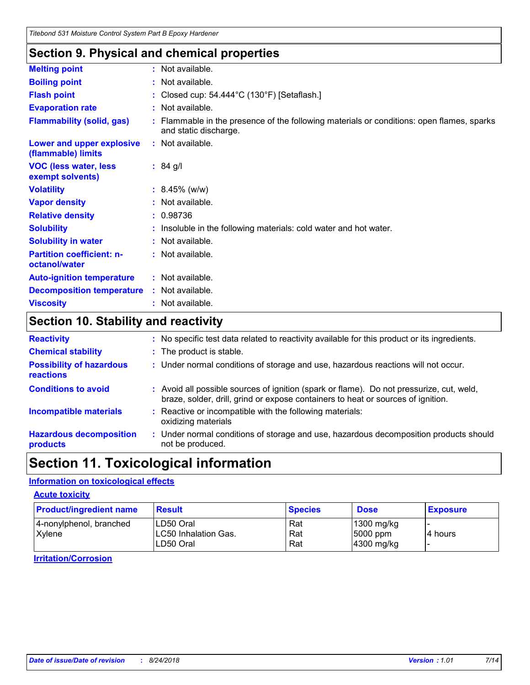### **Section 9. Physical and chemical properties**

| <b>Melting point</b>                              | : Not available.                                                                                                   |
|---------------------------------------------------|--------------------------------------------------------------------------------------------------------------------|
| <b>Boiling point</b>                              | : Not available.                                                                                                   |
| <b>Flash point</b>                                | : Closed cup: $54.444^{\circ}$ C (130°F) [Setaflash.]                                                              |
| <b>Evaporation rate</b>                           | : Not available.                                                                                                   |
| <b>Flammability (solid, gas)</b>                  | : Flammable in the presence of the following materials or conditions: open flames, sparks<br>and static discharge. |
| Lower and upper explosive<br>(flammable) limits   | : Not available.                                                                                                   |
| <b>VOC (less water, less)</b><br>exempt solvents) | $: 84$ g/l                                                                                                         |
| <b>Volatility</b>                                 | $: 8.45\%$ (w/w)                                                                                                   |
| <b>Vapor density</b>                              | : Not available.                                                                                                   |
| <b>Relative density</b>                           | : 0.98736                                                                                                          |
| <b>Solubility</b>                                 | : Insoluble in the following materials: cold water and hot water.                                                  |
| <b>Solubility in water</b>                        | : Not available.                                                                                                   |
| <b>Partition coefficient: n-</b><br>octanol/water | : Not available.                                                                                                   |
| <b>Auto-ignition temperature</b>                  | : Not available.                                                                                                   |
| <b>Decomposition temperature</b>                  | : Not available.                                                                                                   |
| <b>Viscosity</b>                                  | : Not available.                                                                                                   |

# **Section 10. Stability and reactivity**

| <b>Reactivity</b>                                   | : No specific test data related to reactivity available for this product or its ingredients.                                                                                 |  |  |  |
|-----------------------------------------------------|------------------------------------------------------------------------------------------------------------------------------------------------------------------------------|--|--|--|
| <b>Chemical stability</b>                           | : The product is stable.                                                                                                                                                     |  |  |  |
| <b>Possibility of hazardous</b><br><b>reactions</b> | : Under normal conditions of storage and use, hazardous reactions will not occur.                                                                                            |  |  |  |
| <b>Conditions to avoid</b>                          | : Avoid all possible sources of ignition (spark or flame). Do not pressurize, cut, weld,<br>braze, solder, drill, grind or expose containers to heat or sources of ignition. |  |  |  |
| <b>Incompatible materials</b>                       | : Reactive or incompatible with the following materials:<br>oxidizing materials                                                                                              |  |  |  |
| <b>Hazardous decomposition</b><br>products          | : Under normal conditions of storage and use, hazardous decomposition products should<br>not be produced.                                                                    |  |  |  |

# **Section 11. Toxicological information**

### **Information on toxicological effects**

#### **Acute toxicity**

| <b>Product/ingredient name</b>    | <b>Result</b>                                          | <b>Species</b>    | <b>Dose</b>                            | <b>Exposure</b> |
|-----------------------------------|--------------------------------------------------------|-------------------|----------------------------------------|-----------------|
| 4-nonylphenol, branched<br>Xylene | ILD50 Oral<br><b>LC50 Inhalation Gas.</b><br>LD50 Oral | Rat<br>Rat<br>Rat | 1300 mg/kg<br>5000 ppm<br>$4300$ mg/kg | l4 hours        |

#### **Irritation/Corrosion**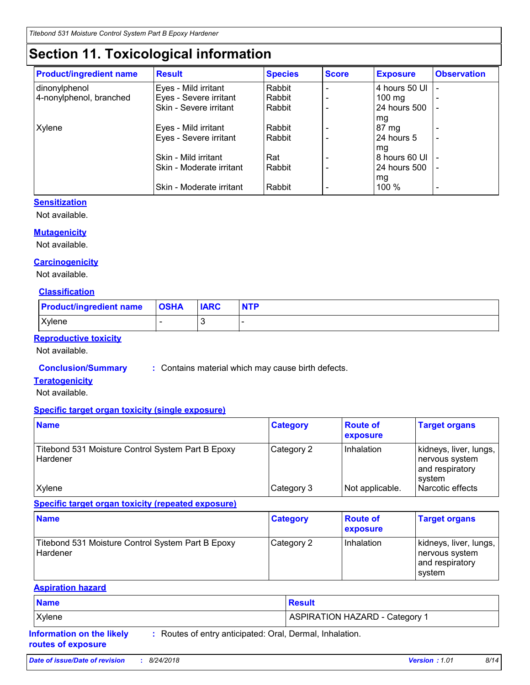# **Section 11. Toxicological information**

| <b>Product/ingredient name</b> | <b>Result</b>            | <b>Species</b> | <b>Score</b> | <b>Exposure</b>  | <b>Observation</b> |
|--------------------------------|--------------------------|----------------|--------------|------------------|--------------------|
| dinonylphenol                  | Eyes - Mild irritant     | Rabbit         |              | 4 hours 50 UI    |                    |
| 4-nonylphenol, branched        | Eyes - Severe irritant   | Rabbit         |              | $100 \text{ mg}$ |                    |
|                                | Skin - Severe irritant   | Rabbit         |              | 24 hours 500     |                    |
|                                |                          |                |              | mg               |                    |
| Xylene                         | Eyes - Mild irritant     | Rabbit         |              | $87 \text{ mg}$  |                    |
|                                | Eyes - Severe irritant   | Rabbit         |              | 24 hours 5       |                    |
|                                |                          |                |              | mg               |                    |
|                                | Skin - Mild irritant     | Rat            |              | 8 hours 60 UI    |                    |
|                                | Skin - Moderate irritant | Rabbit         |              | 24 hours 500     |                    |
|                                |                          |                |              | mg               |                    |
|                                | Skin - Moderate irritant | Rabbit         |              | $100 \%$         |                    |

### **Sensitization**

Not available.

### **Mutagenicity**

Not available.

### **Carcinogenicity**

Not available.

### **Classification**

| <b>Product/ingredient name   OSHA</b> | <b>IARC</b> | <b>NTP</b> |
|---------------------------------------|-------------|------------|
| Xylene                                |             |            |

### **Reproductive toxicity**

Not available.

**Conclusion/Summary :** Contains material which may cause birth defects.

### **Teratogenicity**

Not available.

#### **Specific target organ toxicity (single exposure)**

| <b>Name</b>                                                   | <b>Category</b> | <b>Route of</b><br>exposure | <b>Target organs</b>                                                    |
|---------------------------------------------------------------|-----------------|-----------------------------|-------------------------------------------------------------------------|
| Titebond 531 Moisture Control System Part B Epoxy<br>Hardener | Category 2      | Inhalation                  | kidneys, liver, lungs,<br>  nervous system<br>and respiratory<br>svstem |
| <b>Xylene</b>                                                 | Category 3      | Not applicable.             | l Narcotic effects                                                      |

**Specific target organ toxicity (repeated exposure)**

| <b>Name</b>                                                          | <b>Category</b> | <b>Route of</b><br><b>exposure</b> | <b>Target organs</b>                                                  |
|----------------------------------------------------------------------|-----------------|------------------------------------|-----------------------------------------------------------------------|
| Titebond 531 Moisture Control System Part B Epoxy<br><b>Hardener</b> | Category 2      | Inhalation                         | kidneys, liver, lungs,<br>nervous system<br>and respiratory<br>system |

#### **Aspiration hazard**

| <b>Name</b>                                            |                                                          | <b>Result</b>                         |
|--------------------------------------------------------|----------------------------------------------------------|---------------------------------------|
| Xylene                                                 |                                                          | <b>ASPIRATION HAZARD - Category 1</b> |
| <b>Information on the likely</b><br>routes of exposure | : Routes of entry anticipated: Oral, Dermal, Inhalation. |                                       |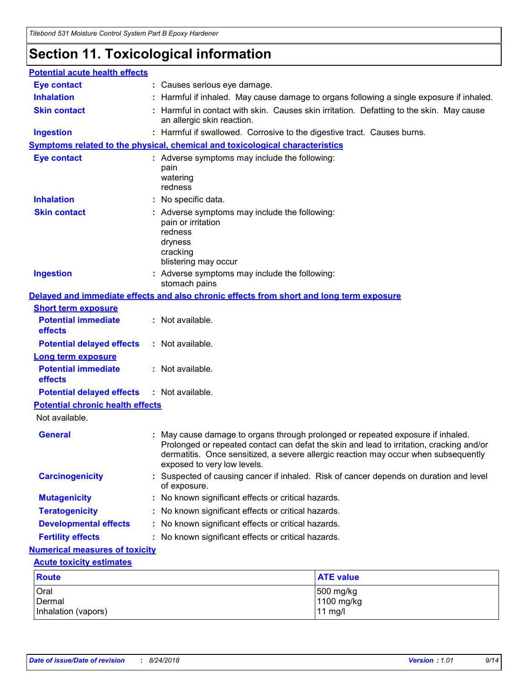# **Section 11. Toxicological information**

| <b>Potential acute health effects</b>                              |                                                                                                                               |                                                                                                                                                                                 |  |  |
|--------------------------------------------------------------------|-------------------------------------------------------------------------------------------------------------------------------|---------------------------------------------------------------------------------------------------------------------------------------------------------------------------------|--|--|
| <b>Eye contact</b>                                                 | : Causes serious eye damage.                                                                                                  |                                                                                                                                                                                 |  |  |
| <b>Inhalation</b>                                                  |                                                                                                                               | : Harmful if inhaled. May cause damage to organs following a single exposure if inhaled.                                                                                        |  |  |
| <b>Skin contact</b>                                                | : Harmful in contact with skin. Causes skin irritation. Defatting to the skin. May cause<br>an allergic skin reaction.        |                                                                                                                                                                                 |  |  |
| <b>Ingestion</b>                                                   | : Harmful if swallowed. Corrosive to the digestive tract. Causes burns.                                                       |                                                                                                                                                                                 |  |  |
|                                                                    | Symptoms related to the physical, chemical and toxicological characteristics                                                  |                                                                                                                                                                                 |  |  |
| <b>Eye contact</b>                                                 | : Adverse symptoms may include the following:<br>pain<br>watering<br>redness                                                  |                                                                                                                                                                                 |  |  |
| <b>Inhalation</b>                                                  | No specific data.                                                                                                             |                                                                                                                                                                                 |  |  |
| <b>Skin contact</b>                                                | : Adverse symptoms may include the following:<br>pain or irritation<br>redness<br>dryness<br>cracking<br>blistering may occur |                                                                                                                                                                                 |  |  |
| <b>Ingestion</b>                                                   | : Adverse symptoms may include the following:<br>stomach pains                                                                |                                                                                                                                                                                 |  |  |
|                                                                    | Delayed and immediate effects and also chronic effects from short and long term exposure                                      |                                                                                                                                                                                 |  |  |
| <b>Short term exposure</b>                                         |                                                                                                                               |                                                                                                                                                                                 |  |  |
| <b>Potential immediate</b><br>effects                              | : Not available.                                                                                                              |                                                                                                                                                                                 |  |  |
| <b>Potential delayed effects</b>                                   | : Not available.                                                                                                              |                                                                                                                                                                                 |  |  |
| <b>Long term exposure</b><br><b>Potential immediate</b><br>effects | : Not available.                                                                                                              |                                                                                                                                                                                 |  |  |
| <b>Potential delayed effects</b>                                   | : Not available.                                                                                                              |                                                                                                                                                                                 |  |  |
| <b>Potential chronic health effects</b>                            |                                                                                                                               |                                                                                                                                                                                 |  |  |
| Not available.                                                     |                                                                                                                               |                                                                                                                                                                                 |  |  |
| <b>General</b>                                                     | May cause damage to organs through prolonged or repeated exposure if inhaled.<br>exposed to very low levels.                  | Prolonged or repeated contact can defat the skin and lead to irritation, cracking and/or<br>dermatitis. Once sensitized, a severe allergic reaction may occur when subsequently |  |  |
| <b>Carcinogenicity</b>                                             | of exposure.                                                                                                                  | Suspected of causing cancer if inhaled. Risk of cancer depends on duration and level                                                                                            |  |  |
| <b>Mutagenicity</b>                                                | No known significant effects or critical hazards.                                                                             |                                                                                                                                                                                 |  |  |
| <b>Teratogenicity</b>                                              | No known significant effects or critical hazards.                                                                             |                                                                                                                                                                                 |  |  |
| <b>Developmental effects</b>                                       | No known significant effects or critical hazards.                                                                             |                                                                                                                                                                                 |  |  |
| <b>Fertility effects</b>                                           | No known significant effects or critical hazards.                                                                             |                                                                                                                                                                                 |  |  |
| <b>Numerical measures of toxicity</b>                              |                                                                                                                               |                                                                                                                                                                                 |  |  |
| <b>Acute toxicity estimates</b>                                    |                                                                                                                               |                                                                                                                                                                                 |  |  |
| <b>Route</b>                                                       |                                                                                                                               | <b>ATE value</b>                                                                                                                                                                |  |  |
| Oral                                                               |                                                                                                                               | 500 mg/kg                                                                                                                                                                       |  |  |
| Dermal<br>Inhalation (vapors)                                      |                                                                                                                               | 1100 mg/kg<br>$11$ mg/l                                                                                                                                                         |  |  |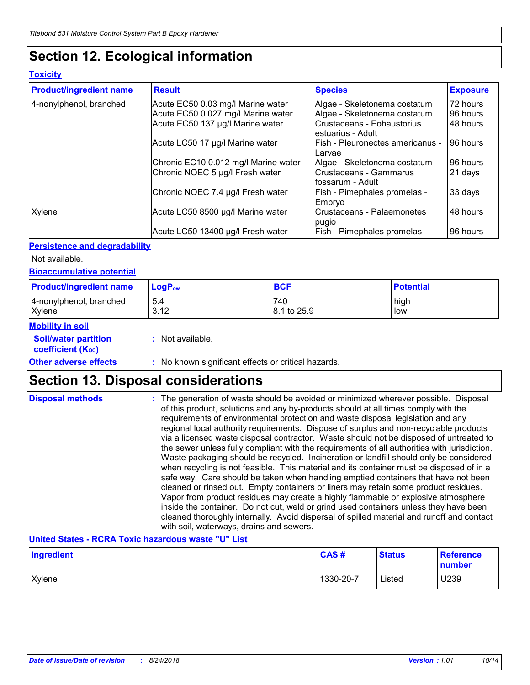# **Section 12. Ecological information**

### **Toxicity**

| <b>Product/ingredient name</b> | <b>Result</b>                        | <b>Species</b>                                  | <b>Exposure</b> |
|--------------------------------|--------------------------------------|-------------------------------------------------|-----------------|
| 4-nonylphenol, branched        | Acute EC50 0.03 mg/l Marine water    | Algae - Skeletonema costatum                    | 72 hours        |
|                                | Acute EC50 0.027 mg/l Marine water   | Algae - Skeletonema costatum                    | 96 hours        |
|                                | Acute EC50 137 µg/l Marine water     | Crustaceans - Eohaustorius<br>estuarius - Adult | 48 hours        |
|                                | Acute LC50 17 µg/l Marine water      | Fish - Pleuronectes americanus -<br>Larvae      | 96 hours        |
|                                | Chronic EC10 0.012 mg/l Marine water | Algae - Skeletonema costatum                    | 96 hours        |
|                                | Chronic NOEC 5 µg/l Fresh water      | Crustaceans - Gammarus<br>l fossarum - Adult    | 21 days         |
|                                | Chronic NOEC 7.4 µg/l Fresh water    | Fish - Pimephales promelas -<br>Embryo          | 33 days         |
| Xylene                         | Acute LC50 8500 µg/l Marine water    | Crustaceans - Palaemonetes<br>pugio             | 48 hours        |
|                                | Acute LC50 13400 µg/l Fresh water    | Fish - Pimephales promelas                      | 96 hours        |

### **Persistence and degradability**

Not available.

### **Bioaccumulative potential**

| <b>Product/ingredient name</b>    | $\mathsf{LogP}_\mathsf{ow}$ | <b>BCF</b>         | <b>Potential</b> |
|-----------------------------------|-----------------------------|--------------------|------------------|
| 4-nonylphenol, branched<br>Xylene | 5.4<br>3.12                 | 740<br>8.1 to 25.9 | high<br>low      |
| <b>Adam Marcha Adam</b>           |                             |                    |                  |

#### **Mobility in soil**

**Soil/water partition coefficient (KOC) :** Not available.

**Other adverse effects** : No known significant effects or critical hazards.

## **Section 13. Disposal considerations**

| <b>Disposal methods</b> | : The generation of waste should be avoided or minimized wherever possible. Disposal<br>of this product, solutions and any by-products should at all times comply with the<br>requirements of environmental protection and waste disposal legislation and any<br>regional local authority requirements. Dispose of surplus and non-recyclable products<br>via a licensed waste disposal contractor. Waste should not be disposed of untreated to<br>the sewer unless fully compliant with the requirements of all authorities with jurisdiction.<br>Waste packaging should be recycled. Incineration or landfill should only be considered<br>when recycling is not feasible. This material and its container must be disposed of in a<br>safe way. Care should be taken when handling emptied containers that have not been<br>cleaned or rinsed out. Empty containers or liners may retain some product residues.<br>Vapor from product residues may create a highly flammable or explosive atmosphere<br>inside the container. Do not cut, weld or grind used containers unless they have been |
|-------------------------|---------------------------------------------------------------------------------------------------------------------------------------------------------------------------------------------------------------------------------------------------------------------------------------------------------------------------------------------------------------------------------------------------------------------------------------------------------------------------------------------------------------------------------------------------------------------------------------------------------------------------------------------------------------------------------------------------------------------------------------------------------------------------------------------------------------------------------------------------------------------------------------------------------------------------------------------------------------------------------------------------------------------------------------------------------------------------------------------------|
|                         | cleaned thoroughly internally. Avoid dispersal of spilled material and runoff and contact<br>with soil, waterways, drains and sewers.                                                                                                                                                                                                                                                                                                                                                                                                                                                                                                                                                                                                                                                                                                                                                                                                                                                                                                                                                             |

#### **United States - RCRA Toxic hazardous waste "U" List**

| Ingredient | CAS#      | <b>Status</b> | <b>Reference</b><br>number |
|------------|-----------|---------------|----------------------------|
| Xylene     | 1330-20-7 | Listed        | U239                       |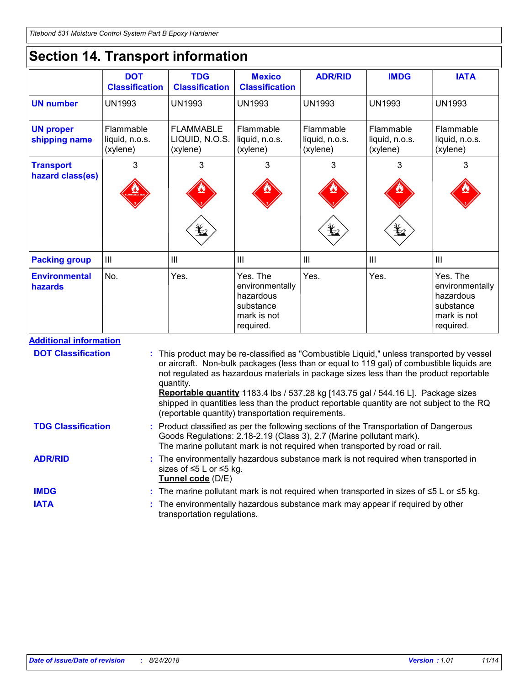# **Section 14. Transport information**

|                                   | <b>DOT</b><br><b>Classification</b>     | <b>TDG</b><br><b>Classification</b>            | <b>Mexico</b><br><b>Classification</b>                                            | <b>ADR/RID</b>                          | <b>IMDG</b>                             | <b>IATA</b>                                                                       |
|-----------------------------------|-----------------------------------------|------------------------------------------------|-----------------------------------------------------------------------------------|-----------------------------------------|-----------------------------------------|-----------------------------------------------------------------------------------|
| <b>UN number</b>                  | <b>UN1993</b>                           | <b>UN1993</b>                                  | <b>UN1993</b>                                                                     | <b>UN1993</b>                           | <b>UN1993</b>                           | <b>UN1993</b>                                                                     |
| <b>UN proper</b><br>shipping name | Flammable<br>liquid, n.o.s.<br>(xylene) | <b>FLAMMABLE</b><br>LIQUID, N.O.S.<br>(xylene) | Flammable<br>liquid, n.o.s.<br>(xylene)                                           | Flammable<br>liquid, n.o.s.<br>(xylene) | Flammable<br>liquid, n.o.s.<br>(xylene) | Flammable<br>liquid, n.o.s.<br>(xylene)                                           |
| <b>Transport</b>                  | 3                                       | 3                                              | 3                                                                                 | 3                                       | 3                                       | 3                                                                                 |
| hazard class(es)                  |                                         | $\bigstar$                                     |                                                                                   | $\bigstar$                              | $\bigstar$                              |                                                                                   |
| <b>Packing group</b>              | III                                     | $\mathbf{III}$                                 | III                                                                               | $\mathbf{III}$                          | $\mathbf{III}$                          | III                                                                               |
|                                   |                                         |                                                |                                                                                   |                                         |                                         |                                                                                   |
| <b>Environmental</b><br>hazards   | No.                                     | Yes.                                           | Yes. The<br>environmentally<br>hazardous<br>substance<br>mark is not<br>required. | Yes.                                    | Yes.                                    | Yes. The<br>environmentally<br>hazardous<br>substance<br>mark is not<br>required. |

| <b>DOT Classification</b> | : This product may be re-classified as "Combustible Liquid," unless transported by vessel<br>or aircraft. Non-bulk packages (less than or equal to 119 gal) of combustible liquids are<br>not regulated as hazardous materials in package sizes less than the product reportable<br>quantity.<br>Reportable quantity 1183.4 lbs / 537.28 kg [143.75 gal / 544.16 L]. Package sizes<br>shipped in quantities less than the product reportable quantity are not subject to the RQ<br>(reportable quantity) transportation requirements. |
|---------------------------|---------------------------------------------------------------------------------------------------------------------------------------------------------------------------------------------------------------------------------------------------------------------------------------------------------------------------------------------------------------------------------------------------------------------------------------------------------------------------------------------------------------------------------------|
| <b>TDG Classification</b> | : Product classified as per the following sections of the Transportation of Dangerous<br>Goods Regulations: 2.18-2.19 (Class 3), 2.7 (Marine pollutant mark).<br>The marine pollutant mark is not required when transported by road or rail.                                                                                                                                                                                                                                                                                          |
| <b>ADR/RID</b>            | : The environmentally hazardous substance mark is not required when transported in<br>sizes of ≤5 L or ≤5 kg.<br>Tunnel code (D/E)                                                                                                                                                                                                                                                                                                                                                                                                    |
| <b>IMDG</b>               | : The marine pollutant mark is not required when transported in sizes of $\leq 5$ L or $\leq 5$ kg.                                                                                                                                                                                                                                                                                                                                                                                                                                   |
| <b>IATA</b>               | : The environmentally hazardous substance mark may appear if required by other<br>transportation regulations.                                                                                                                                                                                                                                                                                                                                                                                                                         |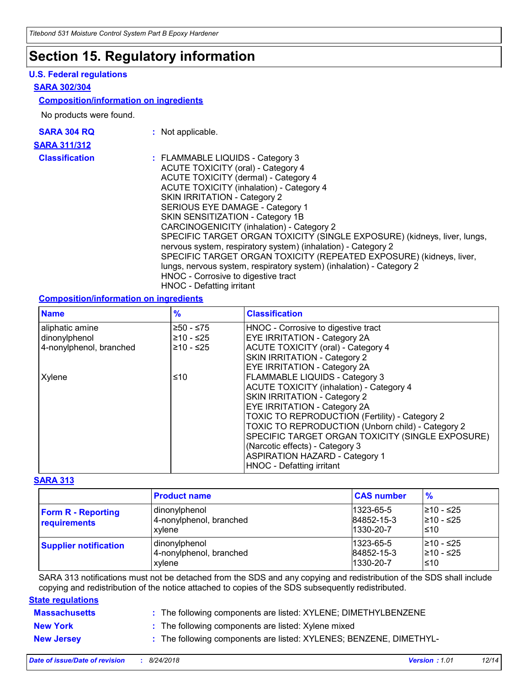### **Section 15. Regulatory information**

#### **U.S. Federal regulations**

#### **SARA 302/304**

#### **Composition/information on ingredients**

No products were found.

| <b>SARA 304 RQ</b> |  |
|--------------------|--|
| SARA 311/312       |  |
| Classification     |  |

- **:** Not applicable.
- **assification :** FLAMMABLE LIQUIDS Category 3 ACUTE TOXICITY (oral) - Category 4 ACUTE TOXICITY (dermal) - Category 4 ACUTE TOXICITY (inhalation) - Category 4 SKIN IRRITATION - Category 2 SERIOUS EYE DAMAGE - Category 1 SKIN SENSITIZATION - Category 1B CARCINOGENICITY (inhalation) - Category 2 SPECIFIC TARGET ORGAN TOXICITY (SINGLE EXPOSURE) (kidneys, liver, lungs, nervous system, respiratory system) (inhalation) - Category 2 SPECIFIC TARGET ORGAN TOXICITY (REPEATED EXPOSURE) (kidneys, liver, lungs, nervous system, respiratory system) (inhalation) - Category 2 HNOC - Corrosive to digestive tract HNOC - Defatting irritant

#### **Composition/information on ingredients**

| <b>Name</b>             | $\frac{9}{6}$ | <b>Classification</b>                                    |  |
|-------------------------|---------------|----------------------------------------------------------|--|
| aliphatic amine         | 250 - ≤75     | HNOC - Corrosive to digestive tract                      |  |
| dinonylphenol           | ≥10 - ≤25     | <b>EYE IRRITATION - Category 2A</b>                      |  |
| 4-nonylphenol, branched | ≥10 - ≤25     | <b>ACUTE TOXICITY (oral) - Category 4</b>                |  |
|                         |               | SKIN IRRITATION - Category 2                             |  |
|                         |               | <b>EYE IRRITATION - Category 2A</b>                      |  |
| Xylene                  | ≤10           | FLAMMABLE LIQUIDS - Category 3                           |  |
|                         |               | <b>ACUTE TOXICITY (inhalation) - Category 4</b>          |  |
|                         |               | SKIN IRRITATION - Category 2                             |  |
|                         |               | EYE IRRITATION - Category 2A                             |  |
|                         |               | TOXIC TO REPRODUCTION (Fertility) - Category 2           |  |
|                         |               | <b>TOXIC TO REPRODUCTION (Unborn child) - Category 2</b> |  |
|                         |               | SPECIFIC TARGET ORGAN TOXICITY (SINGLE EXPOSURE)         |  |
|                         |               | (Narcotic effects) - Category 3                          |  |
|                         |               | <b>ASPIRATION HAZARD - Category 1</b>                    |  |
|                         |               | HNOC - Defatting irritant                                |  |

### **SARA 313**

|                                           | <b>Product name</b>                                | <b>CAS number</b>                    | $\frac{9}{6}$                   |
|-------------------------------------------|----------------------------------------------------|--------------------------------------|---------------------------------|
| <b>Form R - Reporting</b><br>requirements | dinonylphenol<br>4-nonylphenol, branched<br>xvlene | 1323-65-5<br>84852-15-3<br>1330-20-7 | l≥10 - ≤25<br>210 - ≤25<br>l≤10 |
| <b>Supplier notification</b>              | dinonylphenol<br>4-nonylphenol, branched<br>xylene | 1323-65-5<br>84852-15-3<br>1330-20-7 | 210 - ≤25<br>210 - ≤25<br>l≤10  |

SARA 313 notifications must not be detached from the SDS and any copying and redistribution of the SDS shall include copying and redistribution of the notice attached to copies of the SDS subsequently redistributed.

#### **State regulations**

- **Massachusetts :** The following components are listed: XYLENE; DIMETHYLBENZENE
- **New York :** The following components are listed: Xylene mixed
- **New Jersey :** The following components are listed: XYLENES; BENZENE, DIMETHYL-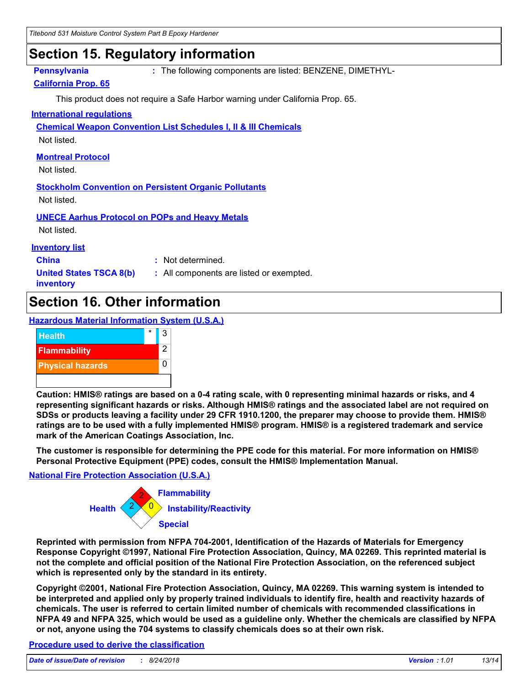### **Section 15. Regulatory information**

**Pennsylvania :** The following components are listed: BENZENE, DIMETHYL-

### **California Prop. 65**

This product does not require a Safe Harbor warning under California Prop. 65.

#### **International regulations**

**Chemical Weapon Convention List Schedules I, II & III Chemicals**

Not listed.

### **Montreal Protocol**

Not listed.

**Stockholm Convention on Persistent Organic Pollutants**

Not listed.

**UNECE Aarhus Protocol on POPs and Heavy Metals** Not listed.

#### **Inventory list**

**China :** Not determined.

**United States TSCA 8(b) inventory**

**:** All components are listed or exempted.

### **Section 16. Other information**

#### **Hazardous Material Information System (U.S.A.)**



**Caution: HMIS® ratings are based on a 0-4 rating scale, with 0 representing minimal hazards or risks, and 4 representing significant hazards or risks. Although HMIS® ratings and the associated label are not required on SDSs or products leaving a facility under 29 CFR 1910.1200, the preparer may choose to provide them. HMIS® ratings are to be used with a fully implemented HMIS® program. HMIS® is a registered trademark and service mark of the American Coatings Association, Inc.**

**The customer is responsible for determining the PPE code for this material. For more information on HMIS® Personal Protective Equipment (PPE) codes, consult the HMIS® Implementation Manual.**

#### **National Fire Protection Association (U.S.A.)**



**Reprinted with permission from NFPA 704-2001, Identification of the Hazards of Materials for Emergency Response Copyright ©1997, National Fire Protection Association, Quincy, MA 02269. This reprinted material is not the complete and official position of the National Fire Protection Association, on the referenced subject which is represented only by the standard in its entirety.**

**Copyright ©2001, National Fire Protection Association, Quincy, MA 02269. This warning system is intended to be interpreted and applied only by properly trained individuals to identify fire, health and reactivity hazards of chemicals. The user is referred to certain limited number of chemicals with recommended classifications in NFPA 49 and NFPA 325, which would be used as a guideline only. Whether the chemicals are classified by NFPA or not, anyone using the 704 systems to classify chemicals does so at their own risk.**

#### **Procedure used to derive the classification**